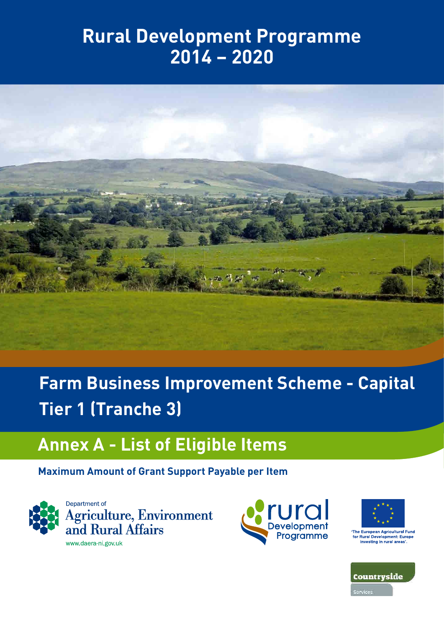## **Rural Development Programme 2014 – 2020**



# **Farm Business Improvement Scheme - Capital Tier 1 (Tranche 3)**

## **Annex A - List of Eligible Items**

### **Maximum Amount of Grant Support Payable per Item**







The European Agricultural Fund<br>for Rural Development: Europe<br>investing in rural areas'.

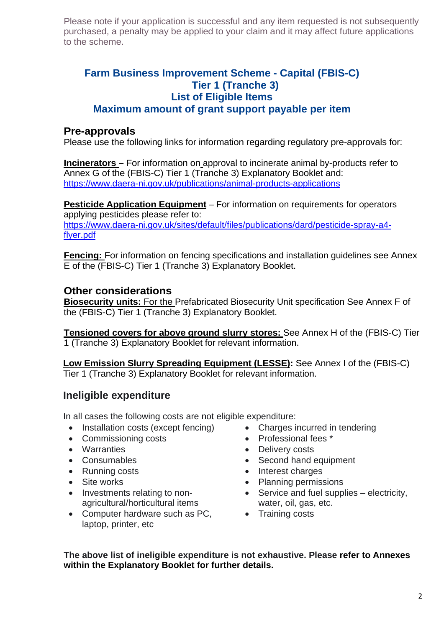#### **Farm Business Improvement Scheme - Capital (FBIS-C) Tier 1 (Tranche 3) List of Eligible Items Maximum amount of grant support payable per item**

#### **Pre-approvals**

Please use the following links for information regarding regulatory pre-approvals for:

**Incinerators –** For information on approval to incinerate animal by-products refer to Annex G of the (FBIS-C) Tier 1 (Tranche 3) Explanatory Booklet and: <https://www.daera-ni.gov.uk/publications/animal-products-applications>

**Pesticide Application Equipment** – For information on requirements for operators applying pesticides please refer to: [https://www.daera-ni.gov.uk/sites/default/files/publications/dard/pesticide-spray-a4](https://www.daera-ni.gov.uk/sites/default/files/publications/dard/pesticide-spray-a4-flyer.pdf) [flyer.pdf](https://www.daera-ni.gov.uk/sites/default/files/publications/dard/pesticide-spray-a4-flyer.pdf)

**Fencing:** For information on fencing specifications and installation guidelines see Annex E of the (FBIS-C) Tier 1 (Tranche 3) Explanatory Booklet.

#### **Other considerations**

**Biosecurity units:** For the Prefabricated Biosecurity Unit specification See Annex F of the (FBIS-C) Tier 1 (Tranche 3) Explanatory Booklet.

**Tensioned covers for above ground slurry stores:** See Annex H of the (FBIS-C) Tier 1 (Tranche 3) Explanatory Booklet for relevant information.

**Low Emission Slurry Spreading Equipment (LESSE):** See Annex I of the (FBIS-C) Tier 1 (Tranche 3) Explanatory Booklet for relevant information.

#### **Ineligible expenditure**

• Investments relating to nonagricultural/horticultural items

laptop, printer, etc

In all cases the following costs are not eligible expenditure:

- Installation costs (except fencing) Charges incurred in tendering
- Commissioning costs Professional fees \*
- Warranties Delivery costs
- Consumables Second hand equipment
- Running costs  **Interest charges**
- Site works Planning permissions
	- Service and fuel supplies electricity, water, oil, gas, etc.
- Computer hardware such as PC, • Training costs

**The above list of ineligible expenditure is not exhaustive. Please refer to Annexes within the Explanatory Booklet for further details.**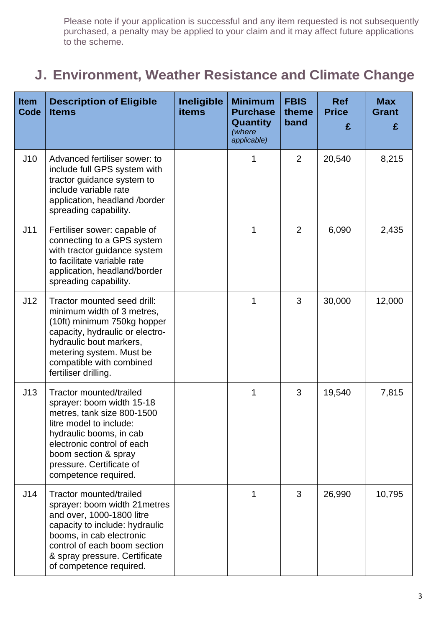### **J. Environment, Weather Resistance and Climate Change**

| <b>Item</b><br>Code | <b>Description of Eligible</b><br><b>Items</b>                                                                                                                                                                                                     | <b>Ineligible</b><br><b>items</b> | <b>Minimum</b><br><b>Purchase</b><br><b>Quantity</b><br>(where<br>applicable) | <b>FBIS</b><br>theme<br>band | <b>Ref</b><br><b>Price</b><br>£ | <b>Max</b><br><b>Grant</b><br>£ |
|---------------------|----------------------------------------------------------------------------------------------------------------------------------------------------------------------------------------------------------------------------------------------------|-----------------------------------|-------------------------------------------------------------------------------|------------------------------|---------------------------------|---------------------------------|
| J10                 | Advanced fertiliser sower: to<br>include full GPS system with<br>tractor guidance system to<br>include variable rate<br>application, headland /border<br>spreading capability.                                                                     |                                   | 1                                                                             | $\overline{2}$               | 20,540                          | 8,215                           |
| J11                 | Fertiliser sower: capable of<br>connecting to a GPS system<br>with tractor guidance system<br>to facilitate variable rate<br>application, headland/border<br>spreading capability.                                                                 |                                   | 1                                                                             | $\overline{2}$               | 6,090                           | 2,435                           |
| J12                 | Tractor mounted seed drill:<br>minimum width of 3 metres,<br>(10ft) minimum 750kg hopper<br>capacity, hydraulic or electro-<br>hydraulic bout markers,<br>metering system. Must be<br>compatible with combined<br>fertiliser drilling.             |                                   | 1                                                                             | 3                            | 30,000                          | 12,000                          |
| J13                 | Tractor mounted/trailed<br>sprayer: boom width 15-18<br>metres, tank size 800-1500<br>litre model to include:<br>hydraulic booms, in cab<br>electronic control of each<br>boom section & spray<br>pressure. Certificate of<br>competence required. |                                   | 1                                                                             | 3                            | 19,540                          | 7,815                           |
| J14                 | Tractor mounted/trailed<br>sprayer: boom width 21 metres<br>and over, 1000-1800 litre<br>capacity to include: hydraulic<br>booms, in cab electronic<br>control of each boom section<br>& spray pressure. Certificate<br>of competence required.    |                                   | 1                                                                             | 3                            | 26,990                          | 10,795                          |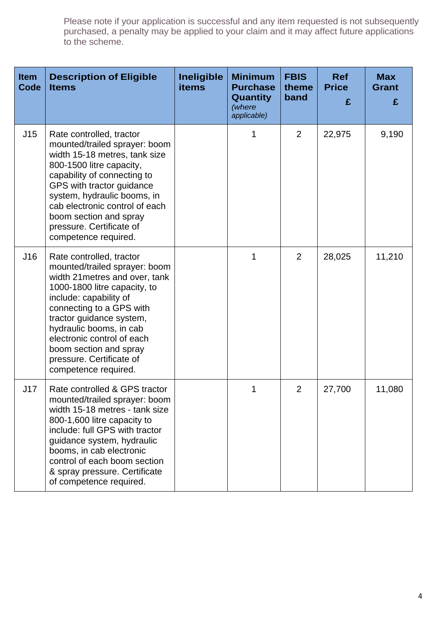| <b>Item</b><br>Code | <b>Description of Eligible</b><br><b>Items</b>                                                                                                                                                                                                                                                                                                       | <b>Ineligible</b><br>items | <b>Minimum</b><br><b>Purchase</b><br>Quantity<br>(where<br>applicable) | <b>FBIS</b><br>theme<br>band | <b>Ref</b><br><b>Price</b><br>£ | <b>Max</b><br><b>Grant</b><br>£ |
|---------------------|------------------------------------------------------------------------------------------------------------------------------------------------------------------------------------------------------------------------------------------------------------------------------------------------------------------------------------------------------|----------------------------|------------------------------------------------------------------------|------------------------------|---------------------------------|---------------------------------|
| J15                 | Rate controlled, tractor<br>mounted/trailed sprayer: boom<br>width 15-18 metres, tank size<br>800-1500 litre capacity,<br>capability of connecting to<br>GPS with tractor guidance<br>system, hydraulic booms, in<br>cab electronic control of each<br>boom section and spray<br>pressure. Certificate of<br>competence required.                    |                            |                                                                        | $\overline{2}$               | 22,975                          | 9,190                           |
| J16                 | Rate controlled, tractor<br>mounted/trailed sprayer: boom<br>width 21 metres and over, tank<br>1000-1800 litre capacity, to<br>include: capability of<br>connecting to a GPS with<br>tractor guidance system,<br>hydraulic booms, in cab<br>electronic control of each<br>boom section and spray<br>pressure. Certificate of<br>competence required. |                            | 1                                                                      | 2                            | 28,025                          | 11,210                          |
| J17                 | Rate controlled & GPS tractor<br>mounted/trailed sprayer: boom<br>width 15-18 metres - tank size<br>800-1,600 litre capacity to<br>include: full GPS with tractor<br>guidance system, hydraulic<br>booms, in cab electronic<br>control of each boom section<br>& spray pressure. Certificate<br>of competence required.                              |                            | 1                                                                      | $\overline{2}$               | 27,700                          | 11,080                          |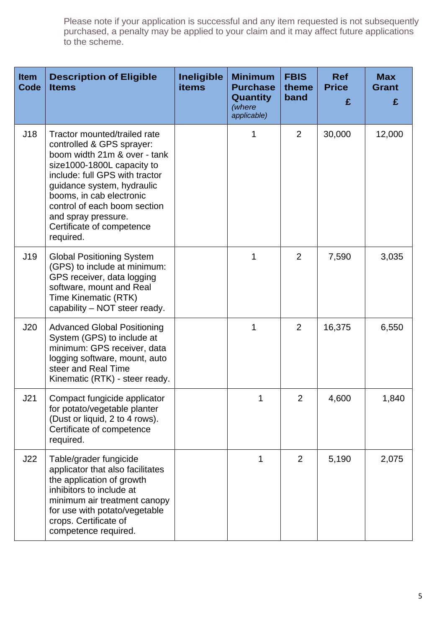| <b>Item</b><br>Code | <b>Description of Eligible</b><br><b>Items</b>                                                                                                                                                                                                                                                                       | <b>Ineligible</b><br><b>items</b> | <b>Minimum</b><br><b>Purchase</b><br><b>Quantity</b><br>(where<br>applicable) | <b>FBIS</b><br>theme<br>band | <b>Ref</b><br><b>Price</b><br>£ | <b>Max</b><br><b>Grant</b><br>£ |
|---------------------|----------------------------------------------------------------------------------------------------------------------------------------------------------------------------------------------------------------------------------------------------------------------------------------------------------------------|-----------------------------------|-------------------------------------------------------------------------------|------------------------------|---------------------------------|---------------------------------|
| J18                 | Tractor mounted/trailed rate<br>controlled & GPS sprayer:<br>boom width 21m & over - tank<br>size1000-1800L capacity to<br>include: full GPS with tractor<br>guidance system, hydraulic<br>booms, in cab electronic<br>control of each boom section<br>and spray pressure.<br>Certificate of competence<br>required. |                                   |                                                                               | $\overline{2}$               | 30,000                          | 12,000                          |
| J19                 | <b>Global Positioning System</b><br>(GPS) to include at minimum:<br>GPS receiver, data logging<br>software, mount and Real<br>Time Kinematic (RTK)<br>capability - NOT steer ready.                                                                                                                                  |                                   | 1                                                                             | $\overline{2}$               | 7,590                           | 3,035                           |
| J20                 | <b>Advanced Global Positioning</b><br>System (GPS) to include at<br>minimum: GPS receiver, data<br>logging software, mount, auto<br>steer and Real Time<br>Kinematic (RTK) - steer ready.                                                                                                                            |                                   | 1                                                                             | $\overline{2}$               | 16,375                          | 6,550                           |
| J21                 | Compact fungicide applicator<br>for potato/vegetable planter<br>(Dust or liquid, 2 to 4 rows).<br>Certificate of competence<br>required.                                                                                                                                                                             |                                   | 1                                                                             | 2                            | 4,600                           | 1,840                           |
| J22                 | Table/grader fungicide<br>applicator that also facilitates<br>the application of growth<br>inhibitors to include at<br>minimum air treatment canopy<br>for use with potato/vegetable<br>crops. Certificate of<br>competence required.                                                                                |                                   | 1                                                                             | $\overline{2}$               | 5,190                           | 2,075                           |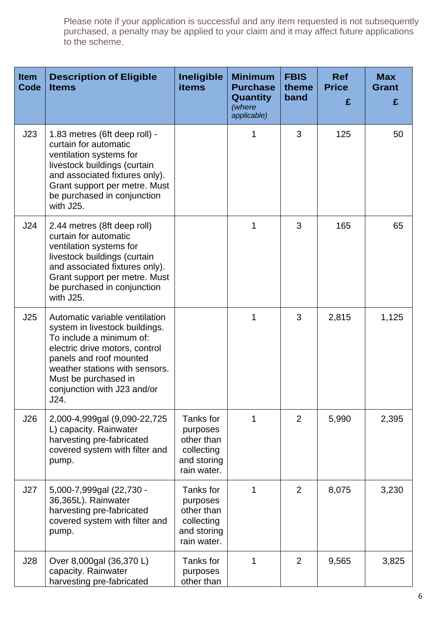| <b>Item</b><br>Code | <b>Description of Eligible</b><br><b>Items</b>                                                                                                                                                                                                             | <b>Ineligible</b><br>items                                                      | <b>Minimum</b><br><b>Purchase</b><br><b>Quantity</b><br>(where<br>applicable) | <b>FBIS</b><br>theme<br>band | <b>Ref</b><br><b>Price</b><br>£ | <b>Max</b><br><b>Grant</b><br>£ |
|---------------------|------------------------------------------------------------------------------------------------------------------------------------------------------------------------------------------------------------------------------------------------------------|---------------------------------------------------------------------------------|-------------------------------------------------------------------------------|------------------------------|---------------------------------|---------------------------------|
| J23                 | 1.83 metres (6ft deep roll) -<br>curtain for automatic<br>ventilation systems for<br>livestock buildings (curtain<br>and associated fixtures only).<br>Grant support per metre. Must<br>be purchased in conjunction<br>with J25.                           |                                                                                 |                                                                               | 3                            | 125                             | 50                              |
| J24                 | 2.44 metres (8ft deep roll)<br>curtain for automatic<br>ventilation systems for<br>livestock buildings (curtain<br>and associated fixtures only).<br>Grant support per metre. Must<br>be purchased in conjunction<br>with J25.                             |                                                                                 | 1                                                                             | 3                            | 165                             | 65                              |
| J25                 | Automatic variable ventilation<br>system in livestock buildings.<br>To include a minimum of:<br>electric drive motors, control<br>panels and roof mounted<br>weather stations with sensors.<br>Must be purchased in<br>conjunction with J23 and/or<br>J24. |                                                                                 | 1                                                                             | 3                            | 2,815                           | 1,125                           |
| J26                 | 2,000-4,999gal (9,090-22,725<br>L) capacity. Rainwater<br>harvesting pre-fabricated<br>covered system with filter and<br>pump.                                                                                                                             | Tanks for<br>purposes<br>other than<br>collecting<br>and storing<br>rain water. |                                                                               | $\overline{2}$               | 5,990                           | 2,395                           |
| J27                 | 5,000-7,999gal (22,730 -<br>36,365L). Rainwater<br>harvesting pre-fabricated<br>covered system with filter and<br>pump.                                                                                                                                    | Tanks for<br>purposes<br>other than<br>collecting<br>and storing<br>rain water. | 1                                                                             | $\overline{2}$               | 8,075                           | 3,230                           |
| J28                 | Over 8,000gal (36,370 L)<br>capacity. Rainwater<br>harvesting pre-fabricated                                                                                                                                                                               | Tanks for<br>purposes<br>other than                                             | 1                                                                             | $\overline{2}$               | 9,565                           | 3,825                           |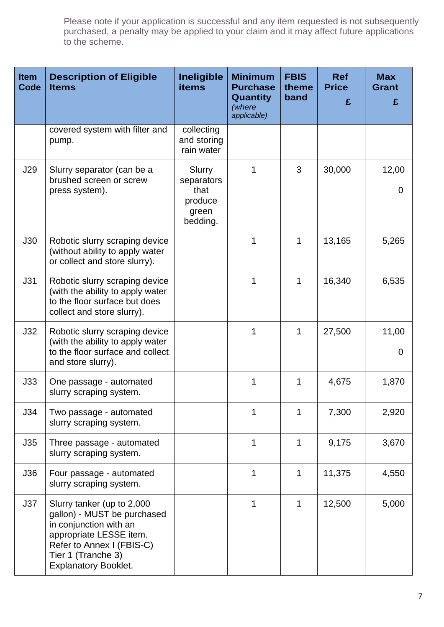| <b>Item</b><br>Code | <b>Description of Eligible</b><br><b>Items</b>                                                                                                                                                   | Ineligible<br><b>items</b>                                   | <b>Minimum</b><br><b>Purchase</b><br><b>Quantity</b><br>(where<br>applicable) | <b>FBIS</b><br>theme<br>band | <b>Ref</b><br><b>Price</b><br>£ | <b>Max</b><br><b>Grant</b><br>£ |
|---------------------|--------------------------------------------------------------------------------------------------------------------------------------------------------------------------------------------------|--------------------------------------------------------------|-------------------------------------------------------------------------------|------------------------------|---------------------------------|---------------------------------|
|                     | covered system with filter and<br>pump.                                                                                                                                                          | collecting<br>and storing<br>rain water                      |                                                                               |                              |                                 |                                 |
| J29                 | Slurry separator (can be a<br>brushed screen or screw<br>press system).                                                                                                                          | Slurry<br>separators<br>that<br>produce<br>green<br>bedding. | 1                                                                             | 3                            | 30,000                          | 12,00<br>$\overline{0}$         |
| J30                 | Robotic slurry scraping device<br>(without ability to apply water<br>or collect and store slurry).                                                                                               |                                                              | 1                                                                             | 1                            | 13,165                          | 5,265                           |
| J31                 | Robotic slurry scraping device<br>(with the ability to apply water<br>to the floor surface but does<br>collect and store slurry).                                                                |                                                              | 1                                                                             | 1                            | 16,340                          | 6,535                           |
| J32                 | Robotic slurry scraping device<br>(with the ability to apply water<br>to the floor surface and collect<br>and store slurry).                                                                     |                                                              | 1                                                                             | 1                            | 27,500                          | 11,00<br>$\overline{0}$         |
| J33                 | One passage - automated<br>slurry scraping system.                                                                                                                                               |                                                              | 1                                                                             | 1                            | 4,675                           | 1,870                           |
| J34                 | Two passage - automated<br>slurry scraping system.                                                                                                                                               |                                                              | 1                                                                             | 1                            | 7,300                           | 2,920                           |
| J35                 | Three passage - automated<br>slurry scraping system.                                                                                                                                             |                                                              | 1                                                                             | 1                            | 9,175                           | 3,670                           |
| J36                 | Four passage - automated<br>slurry scraping system.                                                                                                                                              |                                                              | 1                                                                             | 1                            | 11,375                          | 4,550                           |
| J37                 | Slurry tanker (up to 2,000<br>gallon) - MUST be purchased<br>in conjunction with an<br>appropriate LESSE item.<br>Refer to Annex I (FBIS-C)<br>Tier 1 (Tranche 3)<br><b>Explanatory Booklet.</b> |                                                              | 1                                                                             | 1                            | 12,500                          | 5,000                           |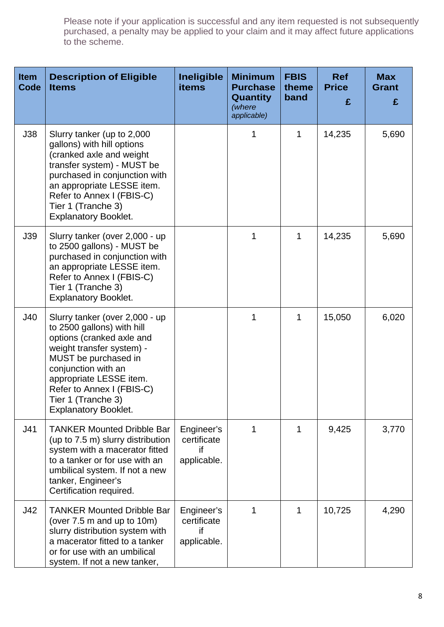| <b>Item</b><br>Code | <b>Description of Eligible</b><br><b>Items</b>                                                                                                                                                                                                                                     | <b>Ineligible</b><br>items                     | <b>Minimum</b><br><b>Purchase</b><br>Quantity<br>(where<br>applicable) | <b>FBIS</b><br>theme<br>band | <b>Ref</b><br><b>Price</b><br>£ | <b>Max</b><br><b>Grant</b><br>£ |
|---------------------|------------------------------------------------------------------------------------------------------------------------------------------------------------------------------------------------------------------------------------------------------------------------------------|------------------------------------------------|------------------------------------------------------------------------|------------------------------|---------------------------------|---------------------------------|
| J38                 | Slurry tanker (up to 2,000<br>gallons) with hill options<br>(cranked axle and weight<br>transfer system) - MUST be<br>purchased in conjunction with<br>an appropriate LESSE item.<br>Refer to Annex I (FBIS-C)<br>Tier 1 (Tranche 3)<br><b>Explanatory Booklet.</b>                |                                                | 1                                                                      | 1                            | 14,235                          | 5,690                           |
| J39                 | Slurry tanker (over 2,000 - up<br>to 2500 gallons) - MUST be<br>purchased in conjunction with<br>an appropriate LESSE item.<br>Refer to Annex I (FBIS-C)<br>Tier 1 (Tranche 3)<br><b>Explanatory Booklet.</b>                                                                      |                                                | 1                                                                      | 1                            | 14,235                          | 5,690                           |
| J40                 | Slurry tanker (over 2,000 - up<br>to 2500 gallons) with hill<br>options (cranked axle and<br>weight transfer system) -<br>MUST be purchased in<br>conjunction with an<br>appropriate LESSE item.<br>Refer to Annex I (FBIS-C)<br>Tier 1 (Tranche 3)<br><b>Explanatory Booklet.</b> |                                                | 1                                                                      | $\mathbf 1$                  | 15,050                          | 6,020                           |
| J41                 | <b>TANKER Mounted Dribble Bar</b><br>(up to 7.5 m) slurry distribution<br>system with a macerator fitted<br>to a tanker or for use with an<br>umbilical system. If not a new<br>tanker, Engineer's<br>Certification required.                                                      | Engineer's<br>certificate<br>if<br>applicable. | 1                                                                      | 1                            | 9,425                           | 3,770                           |
| J42                 | <b>TANKER Mounted Dribble Bar</b><br>(over 7.5 m and up to 10m)<br>slurry distribution system with<br>a macerator fitted to a tanker<br>or for use with an umbilical<br>system. If not a new tanker,                                                                               | Engineer's<br>certificate<br>if<br>applicable. | 1                                                                      | 1                            | 10,725                          | 4,290                           |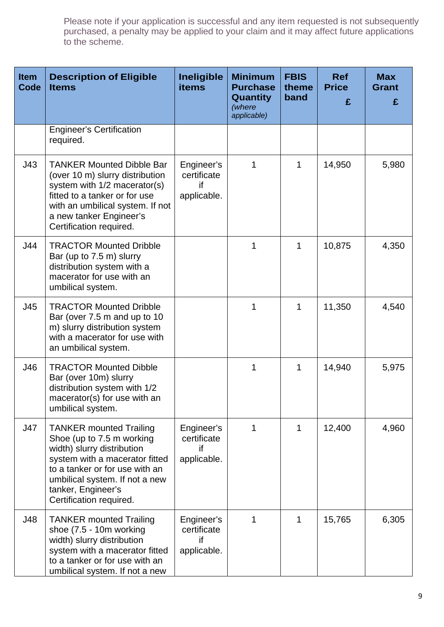| <b>Item</b><br><b>Code</b> | <b>Description of Eligible</b><br><b>Items</b>                                                                                                                                                                                                   | <b>Ineligible</b><br><b>items</b>              | <b>Minimum</b><br><b>Purchase</b><br>Quantity<br>(where<br>applicable) | <b>FBIS</b><br>theme<br>band | <b>Ref</b><br><b>Price</b><br>£ | <b>Max</b><br><b>Grant</b><br>£ |
|----------------------------|--------------------------------------------------------------------------------------------------------------------------------------------------------------------------------------------------------------------------------------------------|------------------------------------------------|------------------------------------------------------------------------|------------------------------|---------------------------------|---------------------------------|
|                            | <b>Engineer's Certification</b><br>required.                                                                                                                                                                                                     |                                                |                                                                        |                              |                                 |                                 |
| J43                        | <b>TANKER Mounted Dibble Bar</b><br>(over 10 m) slurry distribution<br>system with 1/2 macerator(s)<br>fitted to a tanker or for use<br>with an umbilical system. If not<br>a new tanker Engineer's<br>Certification required.                   | Engineer's<br>certificate<br>if<br>applicable. | 1                                                                      | 1                            | 14,950                          | 5,980                           |
| J44                        | <b>TRACTOR Mounted Dribble</b><br>Bar (up to 7.5 m) slurry<br>distribution system with a<br>macerator for use with an<br>umbilical system.                                                                                                       |                                                | 1                                                                      | 1                            | 10,875                          | 4,350                           |
| J45                        | <b>TRACTOR Mounted Dribble</b><br>Bar (over 7.5 m and up to 10<br>m) slurry distribution system<br>with a macerator for use with<br>an umbilical system.                                                                                         |                                                | 1                                                                      | 1                            | 11,350                          | 4,540                           |
| J46                        | <b>TRACTOR Mounted Dibble</b><br>Bar (over 10m) slurry<br>distribution system with 1/2<br>macerator(s) for use with an<br>umbilical system.                                                                                                      |                                                | 1                                                                      | 1                            | 14,940                          | 5,975                           |
| J47                        | <b>TANKER mounted Trailing</b><br>Shoe (up to 7.5 m working<br>width) slurry distribution<br>system with a macerator fitted<br>to a tanker or for use with an<br>umbilical system. If not a new<br>tanker, Engineer's<br>Certification required. | Engineer's<br>certificate<br>if<br>applicable. | 1                                                                      | 1                            | 12,400                          | 4,960                           |
| J48                        | <b>TANKER mounted Trailing</b><br>shoe (7.5 - 10m working<br>width) slurry distribution<br>system with a macerator fitted<br>to a tanker or for use with an<br>umbilical system. If not a new                                                    | Engineer's<br>certificate<br>if<br>applicable. | 1                                                                      | 1                            | 15,765                          | 6,305                           |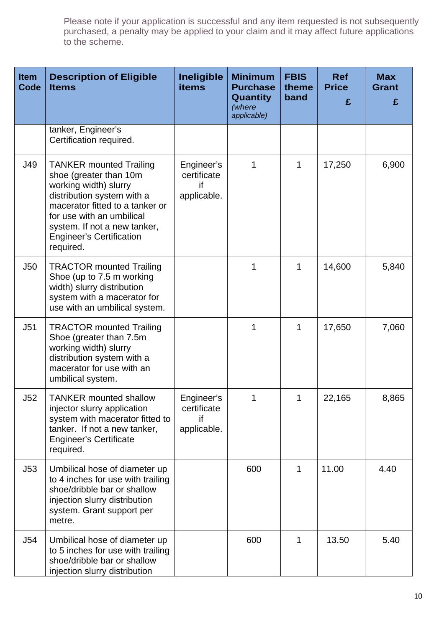| <b>Item</b><br><b>Code</b> | <b>Description of Eligible</b><br><b>Items</b>                                                                                                                                                                                                                  | <b>Ineligible</b><br><b>items</b>              | <b>Minimum</b><br><b>Purchase</b><br>Quantity<br>(where<br>applicable) | <b>FBIS</b><br>theme<br>band | <b>Ref</b><br><b>Price</b><br>£ | <b>Max</b><br><b>Grant</b><br>£ |
|----------------------------|-----------------------------------------------------------------------------------------------------------------------------------------------------------------------------------------------------------------------------------------------------------------|------------------------------------------------|------------------------------------------------------------------------|------------------------------|---------------------------------|---------------------------------|
|                            | tanker, Engineer's<br>Certification required.                                                                                                                                                                                                                   |                                                |                                                                        |                              |                                 |                                 |
| J49                        | <b>TANKER mounted Trailing</b><br>shoe (greater than 10m<br>working width) slurry<br>distribution system with a<br>macerator fitted to a tanker or<br>for use with an umbilical<br>system. If not a new tanker,<br><b>Engineer's Certification</b><br>required. | Engineer's<br>certificate<br>if<br>applicable. | 1                                                                      | 1                            | 17,250                          | 6,900                           |
| J50                        | <b>TRACTOR mounted Trailing</b><br>Shoe (up to 7.5 m working<br>width) slurry distribution<br>system with a macerator for<br>use with an umbilical system.                                                                                                      |                                                | 1                                                                      | 1                            | 14,600                          | 5,840                           |
| J51                        | <b>TRACTOR mounted Trailing</b><br>Shoe (greater than 7.5m<br>working width) slurry<br>distribution system with a<br>macerator for use with an<br>umbilical system.                                                                                             |                                                | 1                                                                      | 1                            | 17,650                          | 7,060                           |
| J52                        | <b>TANKER mounted shallow</b><br>injector slurry application<br>system with macerator fitted to<br>tanker. If not a new tanker,<br><b>Engineer's Certificate</b><br>required.                                                                                   | Engineer's<br>certificate<br>if<br>applicable. |                                                                        | 1                            | 22,165                          | 8,865                           |
| J53                        | Umbilical hose of diameter up<br>to 4 inches for use with trailing<br>shoe/dribble bar or shallow<br>injection slurry distribution<br>system. Grant support per<br>metre.                                                                                       |                                                | 600                                                                    | 1                            | 11.00                           | 4.40                            |
| J54                        | Umbilical hose of diameter up<br>to 5 inches for use with trailing<br>shoe/dribble bar or shallow<br>injection slurry distribution                                                                                                                              |                                                | 600                                                                    | 1                            | 13.50                           | 5.40                            |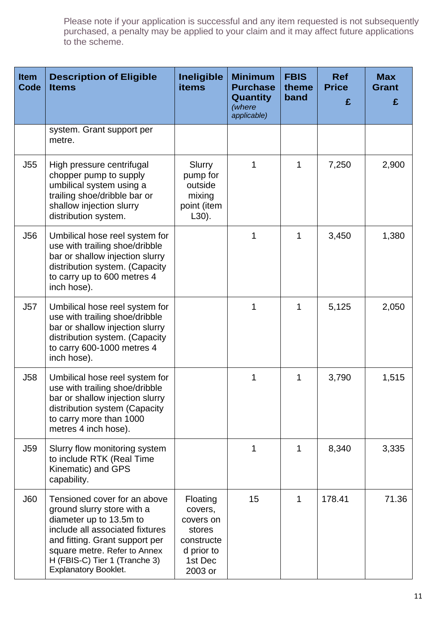| <b>Item</b><br>Code | <b>Description of Eligible</b><br><b>Items</b>                                                                                                                                                                                                             | <b>Ineligible</b><br><b>items</b>                                                            | <b>Minimum</b><br><b>Purchase</b><br><b>Quantity</b><br>(where<br>applicable) | <b>FBIS</b><br>theme<br>band | <b>Ref</b><br><b>Price</b><br>£ | <b>Max</b><br><b>Grant</b><br>£ |
|---------------------|------------------------------------------------------------------------------------------------------------------------------------------------------------------------------------------------------------------------------------------------------------|----------------------------------------------------------------------------------------------|-------------------------------------------------------------------------------|------------------------------|---------------------------------|---------------------------------|
|                     | system. Grant support per<br>metre.                                                                                                                                                                                                                        |                                                                                              |                                                                               |                              |                                 |                                 |
| J55                 | High pressure centrifugal<br>chopper pump to supply<br>umbilical system using a<br>trailing shoe/dribble bar or<br>shallow injection slurry<br>distribution system.                                                                                        | Slurry<br>pump for<br>outside<br>mixing<br>point (item<br>$L30$ ).                           | 1                                                                             | 1                            | 7,250                           | 2,900                           |
| <b>J56</b>          | Umbilical hose reel system for<br>use with trailing shoe/dribble<br>bar or shallow injection slurry<br>distribution system. (Capacity<br>to carry up to 600 metres 4<br>inch hose).                                                                        |                                                                                              | 1                                                                             | 1                            | 3,450                           | 1,380                           |
| J57                 | Umbilical hose reel system for<br>use with trailing shoe/dribble<br>bar or shallow injection slurry<br>distribution system. (Capacity<br>to carry 600-1000 metres 4<br>inch hose).                                                                         |                                                                                              |                                                                               | 1                            | 5,125                           | 2,050                           |
| <b>J58</b>          | Umbilical hose reel system for<br>use with trailing shoe/dribble<br>bar or shallow injection slurry<br>distribution system (Capacity<br>to carry more than 1000<br>metres 4 inch hose).                                                                    |                                                                                              | 1                                                                             | 1                            | 3,790                           | 1,515                           |
| J59                 | Slurry flow monitoring system<br>to include RTK (Real Time<br>Kinematic) and GPS<br>capability.                                                                                                                                                            |                                                                                              | 1                                                                             | 1                            | 8,340                           | 3,335                           |
| <b>J60</b>          | Tensioned cover for an above<br>ground slurry store with a<br>diameter up to 13.5m to<br>include all associated fixtures<br>and fitting. Grant support per<br>square metre. Refer to Annex<br>H (FBIS-C) Tier 1 (Tranche 3)<br><b>Explanatory Booklet.</b> | Floating<br>covers,<br>covers on<br>stores<br>constructe<br>d prior to<br>1st Dec<br>2003 or | 15                                                                            | 1                            | 178.41                          | 71.36                           |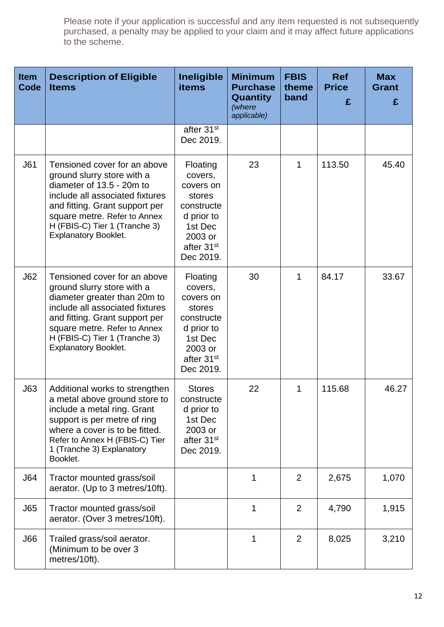| <b>Item</b><br><b>Code</b> | <b>Description of Eligible</b><br><b>Items</b>                                                                                                                                                                                                                  | <b>Ineligible</b><br><b>items</b>                                                                                                   | <b>Minimum</b><br><b>Purchase</b><br>Quantity<br>(where<br>applicable) | <b>FBIS</b><br>theme<br>band | <b>Ref</b><br><b>Price</b><br>£ | <b>Max</b><br><b>Grant</b><br>£ |
|----------------------------|-----------------------------------------------------------------------------------------------------------------------------------------------------------------------------------------------------------------------------------------------------------------|-------------------------------------------------------------------------------------------------------------------------------------|------------------------------------------------------------------------|------------------------------|---------------------------------|---------------------------------|
|                            |                                                                                                                                                                                                                                                                 | after 31 <sup>st</sup><br>Dec 2019.                                                                                                 |                                                                        |                              |                                 |                                 |
| J61                        | Tensioned cover for an above<br>ground slurry store with a<br>diameter of 13.5 - 20m to<br>include all associated fixtures<br>and fitting. Grant support per<br>square metre. Refer to Annex<br>H (FBIS-C) Tier 1 (Tranche 3)<br><b>Explanatory Booklet.</b>    | Floating<br>covers,<br>covers on<br>stores<br>constructe<br>d prior to<br>1st Dec<br>2003 or<br>after 31 <sup>st</sup><br>Dec 2019. | 23                                                                     | $\mathbf{1}$                 | 113.50                          | 45.40                           |
| J62                        | Tensioned cover for an above<br>ground slurry store with a<br>diameter greater than 20m to<br>include all associated fixtures<br>and fitting. Grant support per<br>square metre. Refer to Annex<br>H (FBIS-C) Tier 1 (Tranche 3)<br><b>Explanatory Booklet.</b> | Floating<br>covers,<br>covers on<br>stores<br>constructe<br>d prior to<br>1st Dec<br>2003 or<br>after 31 <sup>st</sup><br>Dec 2019. | 30                                                                     | $\mathbf{1}$                 | 84.17                           | 33.67                           |
| J63                        | Additional works to strengthen<br>a metal above ground store to<br>include a metal ring. Grant<br>support is per metre of ring<br>where a cover is to be fitted.<br>Refer to Annex H (FBIS-C) Tier<br>1 (Tranche 3) Explanatory<br>Booklet.                     | <b>Stores</b><br>constructe<br>d prior to<br>1st Dec<br>2003 or<br>after 31 <sup>st</sup><br>Dec 2019.                              | 22                                                                     | $\mathbf{1}$                 | 115.68                          | 46.27                           |
| J64                        | Tractor mounted grass/soil<br>aerator. (Up to 3 metres/10ft).                                                                                                                                                                                                   |                                                                                                                                     | 1                                                                      | $\overline{2}$               | 2,675                           | 1,070                           |
| J65                        | Tractor mounted grass/soil<br>aerator. (Over 3 metres/10ft).                                                                                                                                                                                                    |                                                                                                                                     | 1                                                                      | $\overline{2}$               | 4,790                           | 1,915                           |
| J66                        | Trailed grass/soil aerator.<br>(Minimum to be over 3<br>metres/10ft).                                                                                                                                                                                           |                                                                                                                                     | 1                                                                      | $\overline{2}$               | 8,025                           | 3,210                           |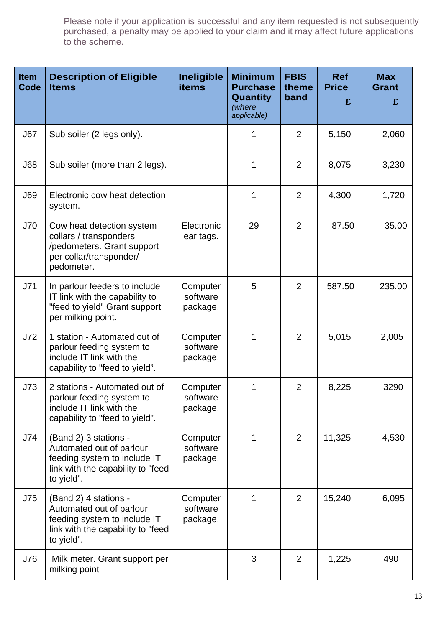| <b>Item</b><br>Code | <b>Description of Eligible</b><br><b>Items</b>                                                                                       | Ineligible<br><b>items</b>       | <b>Minimum</b><br><b>Purchase</b><br><b>Quantity</b><br>(where<br>applicable) | <b>FBIS</b><br>theme<br>band | <b>Ref</b><br><b>Price</b><br>£ | <b>Max</b><br><b>Grant</b><br>£ |
|---------------------|--------------------------------------------------------------------------------------------------------------------------------------|----------------------------------|-------------------------------------------------------------------------------|------------------------------|---------------------------------|---------------------------------|
| J67                 | Sub soiler (2 legs only).                                                                                                            |                                  | 1                                                                             | $\overline{2}$               | 5,150                           | 2,060                           |
| <b>J68</b>          | Sub soiler (more than 2 legs).                                                                                                       |                                  | 1                                                                             | $\overline{2}$               | 8,075                           | 3,230                           |
| <b>J69</b>          | Electronic cow heat detection<br>system.                                                                                             |                                  | 1                                                                             | $\overline{2}$               | 4,300                           | 1,720                           |
| J70                 | Cow heat detection system<br>collars / transponders<br>/pedometers. Grant support<br>per collar/transponder/<br>pedometer.           | Electronic<br>ear tags.          | 29                                                                            | $\overline{2}$               | 87.50                           | 35.00                           |
| J71                 | In parlour feeders to include<br>IT link with the capability to<br>"feed to yield" Grant support<br>per milking point.               | Computer<br>software<br>package. | 5                                                                             | $\overline{2}$               | 587.50                          | 235.00                          |
| J72                 | 1 station - Automated out of<br>parlour feeding system to<br>include IT link with the<br>capability to "feed to yield".              | Computer<br>software<br>package. | 1                                                                             | $\overline{2}$               | 5,015                           | 2,005                           |
| J73                 | 2 stations - Automated out of<br>parlour feeding system to<br>include IT link with the<br>capability to "feed to yield".             | Computer<br>software<br>package. |                                                                               | $\overline{2}$               | 8,225                           | 3290                            |
| J74                 | (Band 2) 3 stations -<br>Automated out of parlour<br>feeding system to include IT<br>link with the capability to "feed<br>to yield". | Computer<br>software<br>package. | 1                                                                             | $\overline{2}$               | 11,325                          | 4,530                           |
| J75                 | (Band 2) 4 stations -<br>Automated out of parlour<br>feeding system to include IT<br>link with the capability to "feed<br>to yield". | Computer<br>software<br>package. | 1                                                                             | $\overline{2}$               | 15,240                          | 6,095                           |
| J76                 | Milk meter. Grant support per<br>milking point                                                                                       |                                  | 3                                                                             | $\overline{2}$               | 1,225                           | 490                             |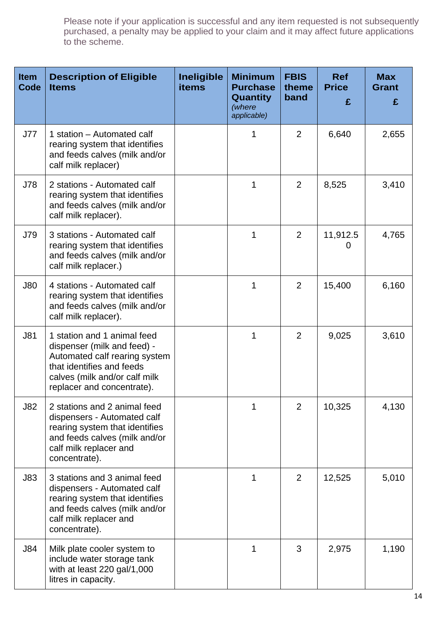| <b>Item</b><br>Code | <b>Description of Eligible</b><br><b>Items</b>                                                                                                                                          | <b>Ineligible</b><br><b>items</b> | <b>Minimum</b><br><b>Purchase</b><br>Quantity<br>(where<br>applicable) | <b>FBIS</b><br>theme<br>band | <b>Ref</b><br><b>Price</b><br>£ | <b>Max</b><br><b>Grant</b><br>£ |
|---------------------|-----------------------------------------------------------------------------------------------------------------------------------------------------------------------------------------|-----------------------------------|------------------------------------------------------------------------|------------------------------|---------------------------------|---------------------------------|
| J77                 | 1 station – Automated calf<br>rearing system that identifies<br>and feeds calves (milk and/or<br>calf milk replacer)                                                                    |                                   | 1                                                                      | 2                            | 6,640                           | 2,655                           |
| J78                 | 2 stations - Automated calf<br>rearing system that identifies<br>and feeds calves (milk and/or<br>calf milk replacer).                                                                  |                                   | 1                                                                      | 2                            | 8,525                           | 3,410                           |
| J79                 | 3 stations - Automated calf<br>rearing system that identifies<br>and feeds calves (milk and/or<br>calf milk replacer.)                                                                  |                                   | 1                                                                      | $\overline{2}$               | 11,912.5<br>0                   | 4,765                           |
| <b>J80</b>          | 4 stations - Automated calf<br>rearing system that identifies<br>and feeds calves (milk and/or<br>calf milk replacer).                                                                  |                                   | 1                                                                      | 2                            | 15,400                          | 6,160                           |
| J81                 | 1 station and 1 animal feed<br>dispenser (milk and feed) -<br>Automated calf rearing system<br>that identifies and feeds<br>calves (milk and/or calf milk<br>replacer and concentrate). |                                   | 1                                                                      | $\overline{2}$               | 9,025                           | 3,610                           |
| <b>J82</b>          | 2 stations and 2 animal feed<br>dispensers - Automated calf<br>rearing system that identifies<br>and feeds calves (milk and/or<br>calf milk replacer and<br>concentrate).               |                                   |                                                                        | $\overline{2}$               | 10,325                          | 4,130                           |
| J83                 | 3 stations and 3 animal feed<br>dispensers - Automated calf<br>rearing system that identifies<br>and feeds calves (milk and/or<br>calf milk replacer and<br>concentrate).               |                                   | 1                                                                      | $\overline{2}$               | 12,525                          | 5,010                           |
| <b>J84</b>          | Milk plate cooler system to<br>include water storage tank<br>with at least 220 gal/1,000<br>litres in capacity.                                                                         |                                   | 1                                                                      | 3                            | 2,975                           | 1,190                           |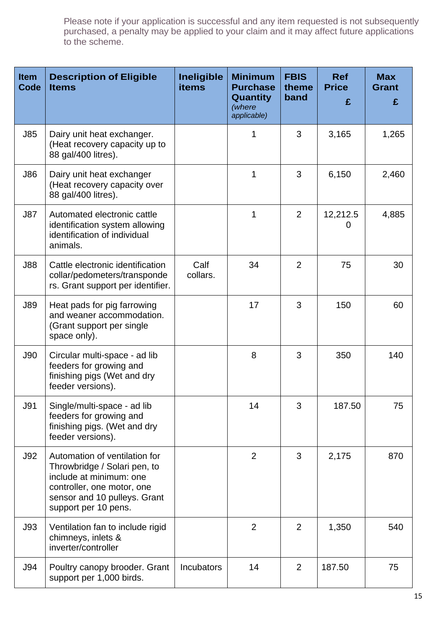| <b>Item</b><br>Code | <b>Description of Eligible</b><br><b>Items</b>                                                                                                                                 | Ineligible<br><b>items</b> | <b>Minimum</b><br><b>Purchase</b><br><b>Quantity</b><br>(where<br>applicable) | <b>FBIS</b><br>theme<br>band | <b>Ref</b><br><b>Price</b><br>£ | <b>Max</b><br><b>Grant</b><br>£ |
|---------------------|--------------------------------------------------------------------------------------------------------------------------------------------------------------------------------|----------------------------|-------------------------------------------------------------------------------|------------------------------|---------------------------------|---------------------------------|
| <b>J85</b>          | Dairy unit heat exchanger.<br>(Heat recovery capacity up to<br>88 gal/400 litres).                                                                                             |                            | 1                                                                             | 3                            | 3,165                           | 1,265                           |
| <b>J86</b>          | Dairy unit heat exchanger<br>(Heat recovery capacity over<br>88 gal/400 litres).                                                                                               |                            | 1                                                                             | 3                            | 6,150                           | 2,460                           |
| <b>J87</b>          | Automated electronic cattle<br>identification system allowing<br>identification of individual<br>animals.                                                                      |                            | 1                                                                             | $\overline{2}$               | 12,212.5<br>0                   | 4,885                           |
| <b>J88</b>          | Cattle electronic identification<br>collar/pedometers/transponde<br>rs. Grant support per identifier.                                                                          | Calf<br>collars.           | 34                                                                            | $\overline{2}$               | 75                              | 30                              |
| <b>J89</b>          | Heat pads for pig farrowing<br>and weaner accommodation.<br>(Grant support per single)<br>space only).                                                                         |                            | 17                                                                            | 3                            | 150                             | 60                              |
| <b>J90</b>          | Circular multi-space - ad lib<br>feeders for growing and<br>finishing pigs (Wet and dry<br>feeder versions).                                                                   |                            | 8                                                                             | 3                            | 350                             | 140                             |
| <b>J91</b>          | Single/multi-space - ad lib<br>feeders for growing and<br>finishing pigs. (Wet and dry<br>feeder versions).                                                                    |                            | 14                                                                            | 3                            | 187.50                          | 75                              |
| J92                 | Automation of ventilation for<br>Throwbridge / Solari pen, to<br>include at minimum: one<br>controller, one motor, one<br>sensor and 10 pulleys. Grant<br>support per 10 pens. |                            | $\overline{2}$                                                                | 3                            | 2,175                           | 870                             |
| J93                 | Ventilation fan to include rigid<br>chimneys, inlets &<br>inverter/controller                                                                                                  |                            | $\overline{2}$                                                                | $\overline{2}$               | 1,350                           | 540                             |
| <b>J94</b>          | Poultry canopy brooder. Grant<br>support per 1,000 birds.                                                                                                                      | <b>Incubators</b>          | 14                                                                            | $\overline{2}$               | 187.50                          | 75                              |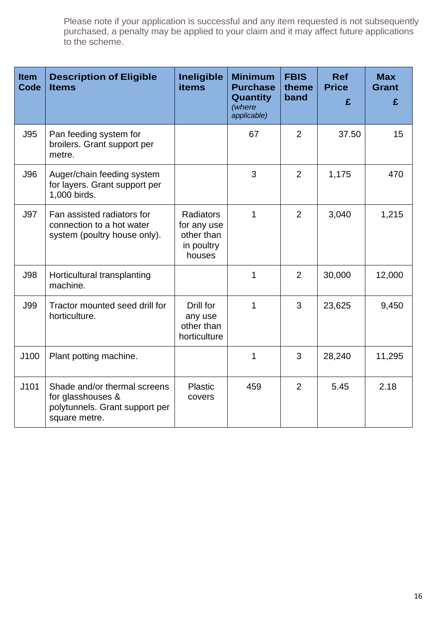| <b>Item</b><br><b>Code</b> | <b>Description of Eligible</b><br><b>Items</b>                                                       | Ineligible<br><b>items</b>                                            | <b>Minimum</b><br><b>Purchase</b><br>Quantity<br>(where<br>applicable) | <b>FBIS</b><br>theme<br>band | <b>Ref</b><br><b>Price</b><br>£ | <b>Max</b><br><b>Grant</b><br>£ |
|----------------------------|------------------------------------------------------------------------------------------------------|-----------------------------------------------------------------------|------------------------------------------------------------------------|------------------------------|---------------------------------|---------------------------------|
| <b>J95</b>                 | Pan feeding system for<br>broilers. Grant support per<br>metre.                                      |                                                                       | 67                                                                     | $\overline{2}$               | 37.50                           | 15                              |
| <b>J96</b>                 | Auger/chain feeding system<br>for layers. Grant support per<br>1,000 birds.                          |                                                                       | 3                                                                      | $\overline{2}$               | 1,175                           | 470                             |
| <b>J97</b>                 | Fan assisted radiators for<br>connection to a hot water<br>system (poultry house only).              | <b>Radiators</b><br>for any use<br>other than<br>in poultry<br>houses | 1                                                                      | $\overline{2}$               | 3,040                           | 1,215                           |
| <b>J98</b>                 | Horticultural transplanting<br>machine.                                                              |                                                                       | 1                                                                      | 2                            | 30,000                          | 12,000                          |
| <b>J99</b>                 | Tractor mounted seed drill for<br>horticulture.                                                      | Drill for<br>any use<br>other than<br>horticulture                    | 1                                                                      | 3                            | 23,625                          | 9,450                           |
| J100                       | Plant potting machine.                                                                               |                                                                       | 1                                                                      | 3                            | 28,240                          | 11,295                          |
| J101                       | Shade and/or thermal screens<br>for glasshouses &<br>polytunnels. Grant support per<br>square metre. | Plastic<br>covers                                                     | 459                                                                    | $\overline{2}$               | 5.45                            | 2.18                            |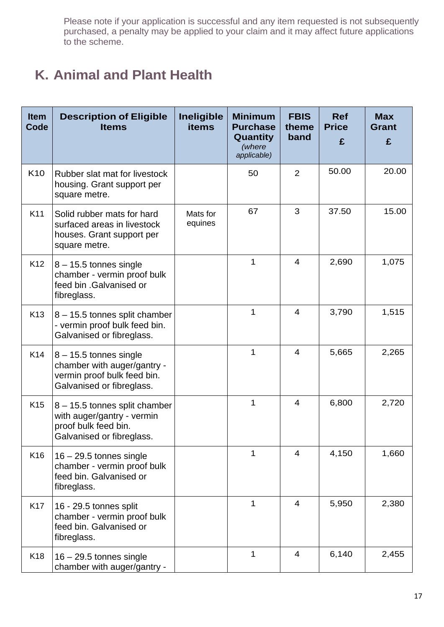## **K. Animal and Plant Health**

| <b>Item</b><br>Code | <b>Description of Eligible</b><br><b>Items</b>                                                                      | Ineligible<br><b>items</b> | <b>Minimum</b><br><b>Purchase</b><br>Quantity<br>(where<br>applicable) | <b>FBIS</b><br>theme<br>band | <b>Ref</b><br><b>Price</b><br>£ | <b>Max</b><br><b>Grant</b><br>£ |
|---------------------|---------------------------------------------------------------------------------------------------------------------|----------------------------|------------------------------------------------------------------------|------------------------------|---------------------------------|---------------------------------|
| K <sub>10</sub>     | Rubber slat mat for livestock<br>housing. Grant support per<br>square metre.                                        |                            | 50                                                                     | 2                            | 50.00                           | 20.00                           |
| K11                 | Solid rubber mats for hard<br>surfaced areas in livestock<br>houses. Grant support per<br>square metre.             | Mats for<br>equines        | 67                                                                     | 3                            | 37.50                           | 15.00                           |
| K <sub>12</sub>     | $8 - 15.5$ tonnes single<br>chamber - vermin proof bulk<br>feed bin .Galvanised or<br>fibreglass.                   |                            | 1                                                                      | $\overline{4}$               | 2,690                           | 1,075                           |
| K <sub>13</sub>     | 8 - 15.5 tonnes split chamber<br>- vermin proof bulk feed bin.<br>Galvanised or fibreglass.                         |                            | 1                                                                      | $\overline{4}$               | 3,790                           | 1,515                           |
| K14                 | $8 - 15.5$ tonnes single<br>chamber with auger/gantry -<br>vermin proof bulk feed bin.<br>Galvanised or fibreglass. |                            | 1                                                                      | $\overline{4}$               | 5,665                           | 2,265                           |
| K <sub>15</sub>     | 8 - 15.5 tonnes split chamber<br>with auger/gantry - vermin<br>proof bulk feed bin.<br>Galvanised or fibreglass.    |                            | 1                                                                      | $\overline{4}$               | 6,800                           | 2,720                           |
| K16                 | $16 - 29.5$ tonnes single<br>chamber - vermin proof bulk<br>feed bin. Galvanised or<br>fibreglass.                  |                            | 1                                                                      | 4                            | 4,150                           | 1,660                           |
| K <sub>17</sub>     | 16 - 29.5 tonnes split<br>chamber - vermin proof bulk<br>feed bin. Galvanised or<br>fibreglass.                     |                            | 1                                                                      | $\overline{4}$               | 5,950                           | 2,380                           |
| K <sub>18</sub>     | $16 - 29.5$ tonnes single<br>chamber with auger/gantry -                                                            |                            | 1                                                                      | 4                            | 6,140                           | 2,455                           |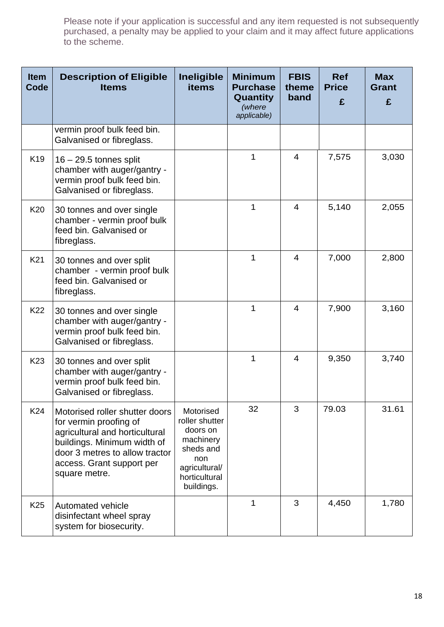| <b>Item</b><br>Code | <b>Description of Eligible</b><br><b>Items</b>                                                                                                                                                            | Ineligible<br><b>items</b>                                                                                               | <b>Minimum</b><br><b>Purchase</b><br>Quantity<br>(where<br>applicable) | <b>FBIS</b><br>theme<br>band | <b>Ref</b><br><b>Price</b><br>£ | <b>Max</b><br><b>Grant</b><br>£ |
|---------------------|-----------------------------------------------------------------------------------------------------------------------------------------------------------------------------------------------------------|--------------------------------------------------------------------------------------------------------------------------|------------------------------------------------------------------------|------------------------------|---------------------------------|---------------------------------|
|                     | vermin proof bulk feed bin.<br>Galvanised or fibreglass.                                                                                                                                                  |                                                                                                                          |                                                                        |                              |                                 |                                 |
| K <sub>19</sub>     | $16 - 29.5$ tonnes split<br>chamber with auger/gantry -<br>vermin proof bulk feed bin.<br>Galvanised or fibreglass.                                                                                       |                                                                                                                          | 1                                                                      | 4                            | 7,575                           | 3,030                           |
| K20                 | 30 tonnes and over single<br>chamber - vermin proof bulk<br>feed bin. Galvanised or<br>fibreglass.                                                                                                        |                                                                                                                          | 1                                                                      | $\overline{4}$               | 5,140                           | 2,055                           |
| K <sub>21</sub>     | 30 tonnes and over split<br>chamber - vermin proof bulk<br>feed bin. Galvanised or<br>fibreglass.                                                                                                         |                                                                                                                          | 1                                                                      | $\overline{4}$               | 7,000                           | 2,800                           |
| K22                 | 30 tonnes and over single<br>chamber with auger/gantry -<br>vermin proof bulk feed bin.<br>Galvanised or fibreglass.                                                                                      |                                                                                                                          | 1                                                                      | 4                            | 7,900                           | 3,160                           |
| K <sub>23</sub>     | 30 tonnes and over split<br>chamber with auger/gantry -<br>vermin proof bulk feed bin.<br>Galvanised or fibreglass.                                                                                       |                                                                                                                          | 1                                                                      | $\overline{4}$               | 9,350                           | 3,740                           |
| K24                 | Motorised roller shutter doors<br>for vermin proofing of<br>agricultural and horticultural<br>buildings. Minimum width of<br>door 3 metres to allow tractor<br>access. Grant support per<br>square metre. | Motorised<br>roller shutter<br>doors on<br>machinery<br>sheds and<br>non<br>agricultural/<br>horticultural<br>buildings. | 32                                                                     | 3                            | 79.03                           | 31.61                           |
| K <sub>25</sub>     | Automated vehicle<br>disinfectant wheel spray<br>system for biosecurity.                                                                                                                                  |                                                                                                                          | 1                                                                      | 3                            | 4,450                           | 1,780                           |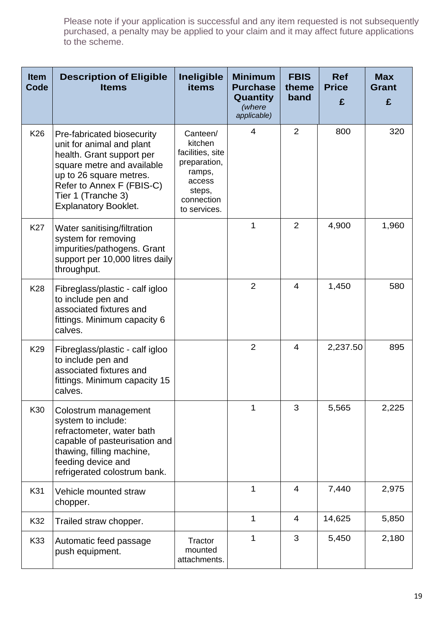| <b>Item</b><br>Code | <b>Description of Eligible</b><br><b>Items</b>                                                                                                                                                                                  | Ineligible<br><b>items</b>                                                                                          | <b>Minimum</b><br><b>Purchase</b><br>Quantity<br>(where<br>applicable) | <b>FBIS</b><br>theme<br>band | <b>Ref</b><br><b>Price</b><br>£ | <b>Max</b><br><b>Grant</b><br>£ |
|---------------------|---------------------------------------------------------------------------------------------------------------------------------------------------------------------------------------------------------------------------------|---------------------------------------------------------------------------------------------------------------------|------------------------------------------------------------------------|------------------------------|---------------------------------|---------------------------------|
| K26                 | Pre-fabricated biosecurity<br>unit for animal and plant<br>health. Grant support per<br>square metre and available<br>up to 26 square metres.<br>Refer to Annex F (FBIS-C)<br>Tier 1 (Tranche 3)<br><b>Explanatory Booklet.</b> | Canteen/<br>kitchen<br>facilities, site<br>preparation,<br>ramps,<br>access<br>steps,<br>connection<br>to services. | $\overline{4}$                                                         | 2                            | 800                             | 320                             |
| <b>K27</b>          | Water sanitising/filtration<br>system for removing<br>impurities/pathogens. Grant<br>support per 10,000 litres daily<br>throughput.                                                                                             |                                                                                                                     | $\mathbf 1$                                                            | 2                            | 4,900                           | 1,960                           |
| K28                 | Fibreglass/plastic - calf igloo<br>to include pen and<br>associated fixtures and<br>fittings. Minimum capacity 6<br>calves.                                                                                                     |                                                                                                                     | 2                                                                      | $\overline{4}$               | 1,450                           | 580                             |
| K <sub>29</sub>     | Fibreglass/plastic - calf igloo<br>to include pen and<br>associated fixtures and<br>fittings. Minimum capacity 15<br>calves.                                                                                                    |                                                                                                                     | 2                                                                      | $\overline{4}$               | 2,237.50                        | 895                             |
| K30                 | Colostrum management<br>system to include:<br>refractometer, water bath<br>capable of pasteurisation and<br>thawing, filling machine,<br>feeding device and<br>refrigerated colostrum bank.                                     |                                                                                                                     | 1                                                                      | 3                            | 5,565                           | 2,225                           |
| K31                 | Vehicle mounted straw<br>chopper.                                                                                                                                                                                               |                                                                                                                     | $\mathbf 1$                                                            | $\overline{4}$               | 7,440                           | 2,975                           |
| K32                 | Trailed straw chopper.                                                                                                                                                                                                          |                                                                                                                     | 1                                                                      | 4                            | 14,625                          | 5,850                           |
| K33                 | Automatic feed passage<br>push equipment.                                                                                                                                                                                       | Tractor<br>mounted<br>attachments.                                                                                  | $\mathbf 1$                                                            | 3                            | 5,450                           | 2,180                           |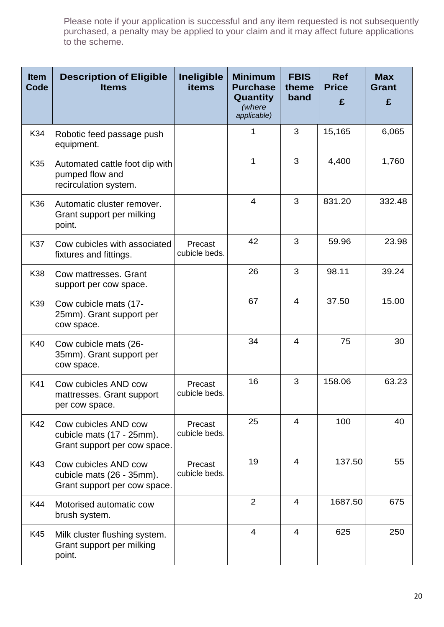| <b>Item</b><br>Code | <b>Description of Eligible</b><br><b>Items</b>                                    | Ineligible<br><b>items</b> | <b>Minimum</b><br><b>Purchase</b><br>Quantity<br>(where<br>applicable) | <b>FBIS</b><br>theme<br>band | <b>Ref</b><br><b>Price</b><br>£ | <b>Max</b><br><b>Grant</b><br>£ |
|---------------------|-----------------------------------------------------------------------------------|----------------------------|------------------------------------------------------------------------|------------------------------|---------------------------------|---------------------------------|
| K34                 | Robotic feed passage push<br>equipment.                                           |                            | 1                                                                      | 3                            | 15,165                          | 6,065                           |
| K35                 | Automated cattle foot dip with<br>pumped flow and<br>recirculation system.        |                            | 1                                                                      | 3                            | 4,400                           | 1,760                           |
| K36                 | Automatic cluster remover.<br>Grant support per milking<br>point.                 |                            | $\overline{4}$                                                         | 3                            | 831.20                          | 332.48                          |
| <b>K37</b>          | Cow cubicles with associated<br>fixtures and fittings.                            | Precast<br>cubicle beds.   | 42                                                                     | 3                            | 59.96                           | 23.98                           |
| K38                 | Cow mattresses, Grant<br>support per cow space.                                   |                            | 26                                                                     | 3                            | 98.11                           | 39.24                           |
| K39                 | Cow cubicle mats (17-<br>25mm). Grant support per<br>cow space.                   |                            | 67                                                                     | 4                            | 37.50                           | 15.00                           |
| K40                 | Cow cubicle mats (26-<br>35mm). Grant support per<br>cow space.                   |                            | 34                                                                     | $\overline{4}$               | 75                              | 30                              |
| K41                 | Cow cubicles AND cow<br>mattresses. Grant support<br>per cow space.               | Precast<br>cubicle beds.   | 16                                                                     | 3                            | 158.06                          | 63.23                           |
| K42                 | Cow cubicles AND cow<br>cubicle mats (17 - 25mm).<br>Grant support per cow space. | Precast<br>cubicle beds.   | 25                                                                     | 4                            | 100                             | 40                              |
| K43                 | Cow cubicles AND cow<br>cubicle mats (26 - 35mm).<br>Grant support per cow space. | Precast<br>cubicle beds.   | 19                                                                     | 4                            | 137.50                          | 55                              |
| K44                 | Motorised automatic cow<br>brush system.                                          |                            | $\overline{2}$                                                         | 4                            | 1687.50                         | 675                             |
| K45                 | Milk cluster flushing system.<br>Grant support per milking<br>point.              |                            | $\overline{4}$                                                         | 4                            | 625                             | 250                             |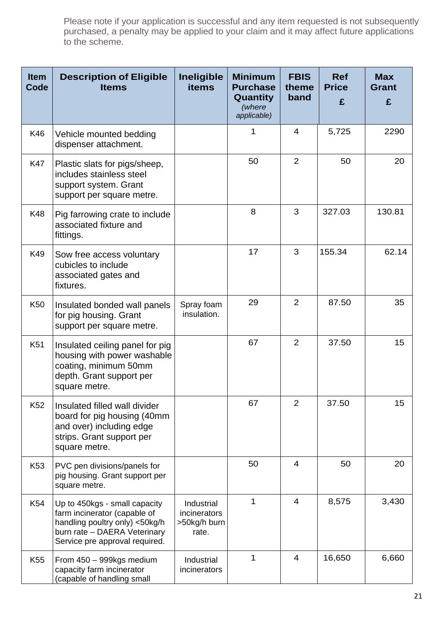| <b>Item</b><br>Code | <b>Description of Eligible</b><br><b>Items</b>                                                                                                                    | <b>Ineligible</b><br><b>items</b>                   | <b>Minimum</b><br><b>Purchase</b><br>Quantity<br>(where<br>applicable) | <b>FBIS</b><br>theme<br>band | <b>Ref</b><br><b>Price</b><br>£ | <b>Max</b><br><b>Grant</b><br>£ |
|---------------------|-------------------------------------------------------------------------------------------------------------------------------------------------------------------|-----------------------------------------------------|------------------------------------------------------------------------|------------------------------|---------------------------------|---------------------------------|
| K46                 | Vehicle mounted bedding<br>dispenser attachment.                                                                                                                  |                                                     | 1                                                                      | $\overline{4}$               | 5,725                           | 2290                            |
| <b>K47</b>          | Plastic slats for pigs/sheep,<br>includes stainless steel<br>support system. Grant<br>support per square metre.                                                   |                                                     | 50                                                                     | 2                            | 50                              | 20                              |
| K48                 | Pig farrowing crate to include<br>associated fixture and<br>fittings.                                                                                             |                                                     | 8                                                                      | 3                            | 327.03                          | 130.81                          |
| K49                 | Sow free access voluntary<br>cubicles to include<br>associated gates and<br>fixtures.                                                                             |                                                     | 17                                                                     | 3                            | 155.34                          | 62.14                           |
| K <sub>50</sub>     | Insulated bonded wall panels<br>for pig housing. Grant<br>support per square metre.                                                                               | Spray foam<br>insulation.                           | 29                                                                     | 2                            | 87.50                           | 35                              |
| K51                 | Insulated ceiling panel for pig<br>housing with power washable<br>coating, minimum 50mm<br>depth. Grant support per<br>square metre.                              |                                                     | 67                                                                     | 2                            | 37.50                           | 15                              |
| K <sub>52</sub>     | Insulated filled wall divider<br>board for pig housing (40mm<br>and over) including edge<br>strips. Grant support per<br>square metre.                            |                                                     | 67                                                                     | $\overline{2}$               | 37.50                           | 15                              |
| K <sub>53</sub>     | PVC pen divisions/panels for<br>pig housing. Grant support per<br>square metre.                                                                                   |                                                     | 50                                                                     | 4                            | 50                              | 20                              |
| K54                 | Up to 450kgs - small capacity<br>farm incinerator (capable of<br>handling poultry only) <50kg/h<br>burn rate - DAERA Veterinary<br>Service pre approval required. | Industrial<br>incinerators<br>>50kg/h burn<br>rate. | 1                                                                      | 4                            | 8,575                           | 3,430                           |
| K <sub>55</sub>     | From 450 - 999kgs medium<br>capacity farm incinerator<br>(capable of handling small                                                                               | Industrial<br>incinerators                          | 1                                                                      | 4                            | 16,650                          | 6,660                           |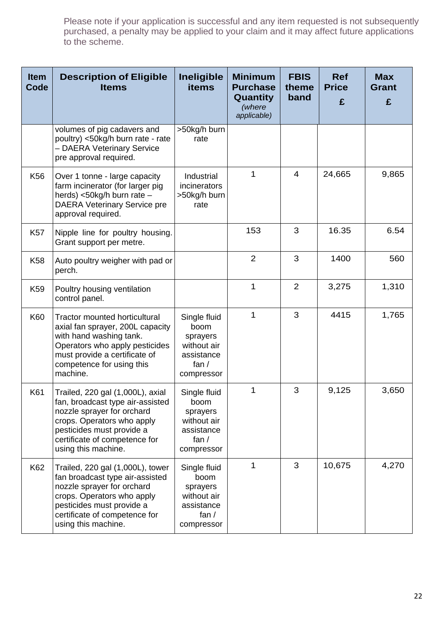| <b>Item</b><br>Code | <b>Description of Eligible</b><br><b>Items</b>                                                                                                                                                                        | Ineligible<br>items                                                                    | <b>Minimum</b><br><b>Purchase</b><br>Quantity<br>(where<br>applicable) | <b>FBIS</b><br>theme<br>band | <b>Ref</b><br><b>Price</b><br>£ | <b>Max</b><br><b>Grant</b><br>£ |
|---------------------|-----------------------------------------------------------------------------------------------------------------------------------------------------------------------------------------------------------------------|----------------------------------------------------------------------------------------|------------------------------------------------------------------------|------------------------------|---------------------------------|---------------------------------|
|                     | volumes of pig cadavers and<br>poultry) <50kg/h burn rate - rate<br>- DAERA Veterinary Service<br>pre approval required.                                                                                              | >50kg/h burn<br>rate                                                                   |                                                                        |                              |                                 |                                 |
| K <sub>56</sub>     | Over 1 tonne - large capacity<br>farm incinerator (for larger pig<br>herds) <50kg/h burn rate -<br><b>DAERA Veterinary Service pre</b><br>approval required.                                                          | Industrial<br>incinerators<br>>50kg/h burn<br>rate                                     | 1                                                                      | $\overline{4}$               | 24,665                          | 9,865                           |
| K <sub>57</sub>     | Nipple line for poultry housing.<br>Grant support per metre.                                                                                                                                                          |                                                                                        | 153                                                                    | 3                            | 16.35                           | 6.54                            |
| <b>K58</b>          | Auto poultry weigher with pad or<br>perch.                                                                                                                                                                            |                                                                                        | $\overline{2}$                                                         | 3                            | 1400                            | 560                             |
| K <sub>59</sub>     | Poultry housing ventilation<br>control panel.                                                                                                                                                                         |                                                                                        | 1                                                                      | $\overline{2}$               | 3,275                           | 1,310                           |
| K60                 | <b>Tractor mounted horticultural</b><br>axial fan sprayer, 200L capacity<br>with hand washing tank.<br>Operators who apply pesticides<br>must provide a certificate of<br>competence for using this<br>machine.       | Single fluid<br>boom<br>sprayers<br>without air<br>assistance<br>fan $/$<br>compressor | 1                                                                      | 3                            | 4415                            | 1,765                           |
| K61                 | Trailed, 220 gal (1,000L), axial<br>fan, broadcast type air-assisted<br>nozzle sprayer for orchard<br>crops. Operators who apply<br>pesticides must provide a<br>certificate of competence for<br>using this machine. | Single fluid<br>boom<br>sprayers<br>without air<br>assistance<br>fan $/$<br>compressor | 1                                                                      | 3                            | 9,125                           | 3,650                           |
| K62                 | Trailed, 220 gal (1,000L), tower<br>fan broadcast type air-assisted<br>nozzle sprayer for orchard<br>crops. Operators who apply<br>pesticides must provide a<br>certificate of competence for<br>using this machine.  | Single fluid<br>boom<br>sprayers<br>without air<br>assistance<br>fan $/$<br>compressor | 1                                                                      | 3                            | 10,675                          | 4,270                           |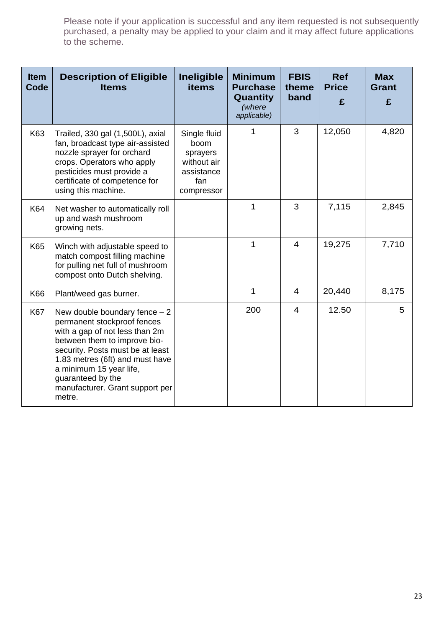| <b>Item</b><br>Code | <b>Description of Eligible</b><br><b>Items</b>                                                                                                                                                                                                                                                      | Ineligible<br><b>items</b>                                                         | <b>Minimum</b><br><b>Purchase</b><br>Quantity<br>(where<br>applicable) | <b>FBIS</b><br>theme<br>band | <b>Ref</b><br><b>Price</b><br>£ | <b>Max</b><br><b>Grant</b><br>£ |
|---------------------|-----------------------------------------------------------------------------------------------------------------------------------------------------------------------------------------------------------------------------------------------------------------------------------------------------|------------------------------------------------------------------------------------|------------------------------------------------------------------------|------------------------------|---------------------------------|---------------------------------|
| K63                 | Trailed, 330 gal (1,500L), axial<br>fan, broadcast type air-assisted<br>nozzle sprayer for orchard<br>crops. Operators who apply<br>pesticides must provide a<br>certificate of competence for<br>using this machine.                                                                               | Single fluid<br>boom<br>sprayers<br>without air<br>assistance<br>fan<br>compressor | 1                                                                      | 3                            | 12,050                          | 4,820                           |
| K64                 | Net washer to automatically roll<br>up and wash mushroom<br>growing nets.                                                                                                                                                                                                                           |                                                                                    | 1                                                                      | 3                            | 7,115                           | 2,845                           |
| K65                 | Winch with adjustable speed to<br>match compost filling machine<br>for pulling net full of mushroom<br>compost onto Dutch shelving.                                                                                                                                                                 |                                                                                    | 1                                                                      | 4                            | 19,275                          | 7,710                           |
| K66                 | Plant/weed gas burner.                                                                                                                                                                                                                                                                              |                                                                                    | 1                                                                      | 4                            | 20,440                          | 8,175                           |
| <b>K67</b>          | New double boundary fence $-2$<br>permanent stockproof fences<br>with a gap of not less than 2m<br>between them to improve bio-<br>security. Posts must be at least<br>1.83 metres (6ft) and must have<br>a minimum 15 year life,<br>guaranteed by the<br>manufacturer. Grant support per<br>metre. |                                                                                    | 200                                                                    | $\overline{4}$               | 12.50                           | 5                               |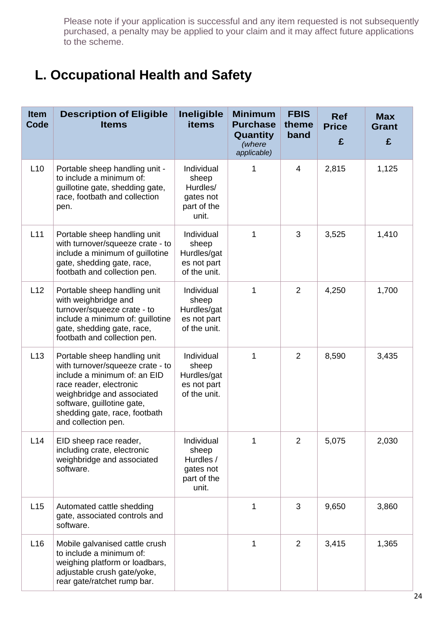### **L. Occupational Health and Safety**

| <b>Item</b><br>Code | <b>Description of Eligible</b><br><b>Items</b>                                                                                                                                                                                                  | Ineligible<br><b>items</b>                                            | <b>Minimum</b><br><b>Purchase</b><br><b>Quantity</b><br>(where<br>applicable) | <b>FBIS</b><br>theme<br>band | <b>Ref</b><br><b>Price</b><br>£ | <b>Max</b><br><b>Grant</b><br>£ |
|---------------------|-------------------------------------------------------------------------------------------------------------------------------------------------------------------------------------------------------------------------------------------------|-----------------------------------------------------------------------|-------------------------------------------------------------------------------|------------------------------|---------------------------------|---------------------------------|
| L10                 | Portable sheep handling unit -<br>to include a minimum of:<br>guillotine gate, shedding gate,<br>race, footbath and collection<br>pen.                                                                                                          | Individual<br>sheep<br>Hurdles/<br>gates not<br>part of the<br>unit.  | 1                                                                             | $\overline{4}$               | 2,815                           | 1,125                           |
| L11                 | Portable sheep handling unit<br>with turnover/squeeze crate - to<br>include a minimum of guillotine<br>gate, shedding gate, race,<br>footbath and collection pen.                                                                               | Individual<br>sheep<br>Hurdles/gat<br>es not part<br>of the unit.     | 1                                                                             | 3                            | 3,525                           | 1,410                           |
| L12                 | Portable sheep handling unit<br>with weighbridge and<br>turnover/squeeze crate - to<br>include a minimum of: guillotine<br>gate, shedding gate, race,<br>footbath and collection pen.                                                           | Individual<br>sheep<br>Hurdles/gat<br>es not part<br>of the unit.     | 1                                                                             | $\overline{2}$               | 4,250                           | 1,700                           |
| L13                 | Portable sheep handling unit<br>with turnover/squeeze crate - to<br>include a minimum of: an EID<br>race reader, electronic<br>weighbridge and associated<br>software, guillotine gate,<br>shedding gate, race, footbath<br>and collection pen. | Individual<br>sheep<br>Hurdles/gat<br>es not part<br>of the unit.     | 1                                                                             | $\overline{2}$               | 8,590                           | 3,435                           |
| L14                 | EID sheep race reader,<br>including crate, electronic<br>weighbridge and associated<br>software.                                                                                                                                                | Individual<br>sheep<br>Hurdles /<br>gates not<br>part of the<br>unit. | 1                                                                             | $\overline{2}$               | 5,075                           | 2,030                           |
| L15                 | Automated cattle shedding<br>gate, associated controls and<br>software.                                                                                                                                                                         |                                                                       | $\mathbf 1$                                                                   | 3                            | 9,650                           | 3,860                           |
| L16                 | Mobile galvanised cattle crush<br>to include a minimum of:<br>weighing platform or loadbars,<br>adjustable crush gate/yoke,<br>rear gate/ratchet rump bar.                                                                                      |                                                                       | $\mathbf 1$                                                                   | 2                            | 3,415                           | 1,365                           |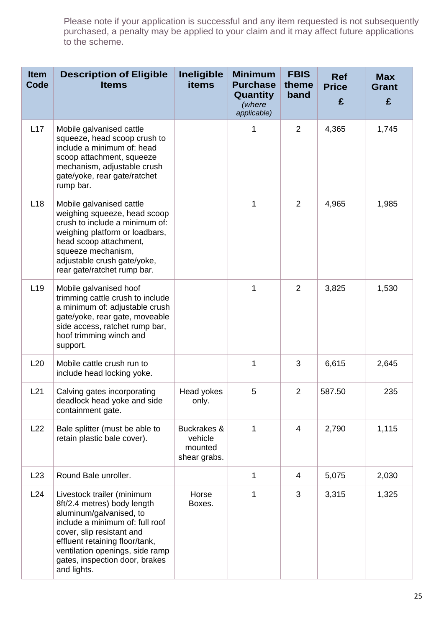| <b>Item</b><br>Code | <b>Description of Eligible</b><br><b>Items</b>                                                                                                                                                                                                                             | <b>Ineligible</b><br><b>items</b>                 | <b>Minimum</b><br><b>Purchase</b><br>Quantity<br>(where<br>applicable) | <b>FBIS</b><br>theme<br>band | <b>Ref</b><br><b>Price</b><br>£ | <b>Max</b><br><b>Grant</b><br>£ |
|---------------------|----------------------------------------------------------------------------------------------------------------------------------------------------------------------------------------------------------------------------------------------------------------------------|---------------------------------------------------|------------------------------------------------------------------------|------------------------------|---------------------------------|---------------------------------|
| L17                 | Mobile galvanised cattle<br>squeeze, head scoop crush to<br>include a minimum of: head<br>scoop attachment, squeeze<br>mechanism, adjustable crush<br>gate/yoke, rear gate/ratchet<br>rump bar.                                                                            |                                                   | 1                                                                      | 2                            | 4,365                           | 1,745                           |
| L18                 | Mobile galvanised cattle<br>weighing squeeze, head scoop<br>crush to include a minimum of:<br>weighing platform or loadbars,<br>head scoop attachment,<br>squeeze mechanism,<br>adjustable crush gate/yoke,<br>rear gate/ratchet rump bar.                                 |                                                   | 1                                                                      | 2                            | 4,965                           | 1,985                           |
| L19                 | Mobile galvanised hoof<br>trimming cattle crush to include<br>a minimum of: adjustable crush<br>gate/yoke, rear gate, moveable<br>side access, ratchet rump bar,<br>hoof trimming winch and<br>support.                                                                    |                                                   | 1                                                                      | 2                            | 3,825                           | 1,530                           |
| L20                 | Mobile cattle crush run to<br>include head locking yoke.                                                                                                                                                                                                                   |                                                   | 1                                                                      | 3                            | 6,615                           | 2,645                           |
| L21                 | Calving gates incorporating<br>deadlock head yoke and side<br>containment gate.                                                                                                                                                                                            | Head yokes<br>only.                               | 5                                                                      | 2                            | 587.50                          | 235                             |
| L22                 | Bale splitter (must be able to<br>retain plastic bale cover).                                                                                                                                                                                                              | Buckrakes &<br>vehicle<br>mounted<br>shear grabs. | 1                                                                      | 4                            | 2,790                           | 1,115                           |
| L23                 | Round Bale unroller.                                                                                                                                                                                                                                                       |                                                   | 1                                                                      | 4                            | 5,075                           | 2,030                           |
| L24                 | Livestock trailer (minimum<br>8ft/2.4 metres) body length<br>aluminum/galvanised, to<br>include a minimum of: full roof<br>cover, slip resistant and<br>effluent retaining floor/tank,<br>ventilation openings, side ramp<br>gates, inspection door, brakes<br>and lights. | Horse<br>Boxes.                                   | 1                                                                      | 3                            | 3,315                           | 1,325                           |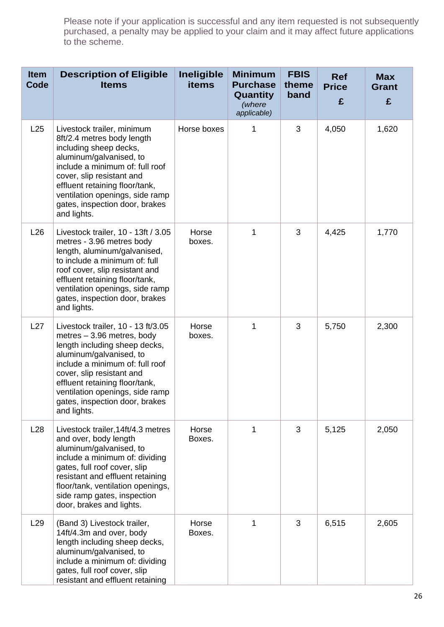| <b>Item</b><br>Code | <b>Description of Eligible</b><br><b>Items</b>                                                                                                                                                                                                                                                                     | <b>Ineligible</b><br><b>items</b> | <b>Minimum</b><br><b>Purchase</b><br>Quantity<br>(where<br>applicable) | <b>FBIS</b><br>theme<br>band | <b>Ref</b><br><b>Price</b><br>£ | <b>Max</b><br><b>Grant</b><br>£ |
|---------------------|--------------------------------------------------------------------------------------------------------------------------------------------------------------------------------------------------------------------------------------------------------------------------------------------------------------------|-----------------------------------|------------------------------------------------------------------------|------------------------------|---------------------------------|---------------------------------|
| L25                 | Livestock trailer, minimum<br>8ft/2.4 metres body length<br>including sheep decks,<br>aluminum/galvanised, to<br>include a minimum of: full roof<br>cover, slip resistant and<br>effluent retaining floor/tank,<br>ventilation openings, side ramp<br>gates, inspection door, brakes<br>and lights.                | Horse boxes                       | 1                                                                      | 3                            | 4,050                           | 1,620                           |
| L26                 | Livestock trailer, 10 - 13ft / 3.05<br>metres - 3.96 metres body<br>length, aluminum/galvanised,<br>to include a minimum of: full<br>roof cover, slip resistant and<br>effluent retaining floor/tank,<br>ventilation openings, side ramp<br>gates, inspection door, brakes<br>and lights.                          | Horse<br>boxes.                   | 1                                                                      | 3                            | 4,425                           | 1,770                           |
| L27                 | Livestock trailer, 10 - 13 ft/3.05<br>metres - 3.96 metres, body<br>length including sheep decks,<br>aluminum/galvanised, to<br>include a minimum of: full roof<br>cover, slip resistant and<br>effluent retaining floor/tank,<br>ventilation openings, side ramp<br>gates, inspection door, brakes<br>and lights. | Horse<br>boxes.                   | 1                                                                      | 3                            | 5,750                           | 2,300                           |
| L28                 | Livestock trailer, 14ft/4.3 metres<br>and over, body length<br>aluminum/galvanised, to<br>include a minimum of: dividing<br>gates, full roof cover, slip<br>resistant and effluent retaining<br>floor/tank, ventilation openings,<br>side ramp gates, inspection<br>door, brakes and lights.                       | Horse<br>Boxes.                   | 1                                                                      | 3                            | 5,125                           | 2,050                           |
| L <sub>29</sub>     | (Band 3) Livestock trailer,<br>14ft/4.3m and over, body<br>length including sheep decks,<br>aluminum/galvanised, to<br>include a minimum of: dividing<br>gates, full roof cover, slip<br>resistant and effluent retaining                                                                                          | Horse<br>Boxes.                   | 1                                                                      | 3                            | 6,515                           | 2,605                           |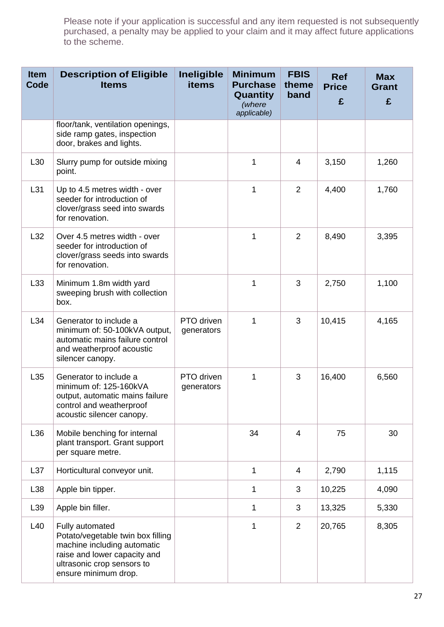| <b>Item</b><br>Code | <b>Description of Eligible</b><br><b>Items</b>                                                                                                                            | Ineligible<br><b>items</b> | <b>Minimum</b><br><b>Purchase</b><br>Quantity<br>(where<br>applicable) | <b>FBIS</b><br>theme<br>band | <b>Ref</b><br><b>Price</b><br>£ | <b>Max</b><br><b>Grant</b><br>£ |
|---------------------|---------------------------------------------------------------------------------------------------------------------------------------------------------------------------|----------------------------|------------------------------------------------------------------------|------------------------------|---------------------------------|---------------------------------|
|                     | floor/tank, ventilation openings,<br>side ramp gates, inspection<br>door, brakes and lights.                                                                              |                            |                                                                        |                              |                                 |                                 |
| L30                 | Slurry pump for outside mixing<br>point.                                                                                                                                  |                            | 1                                                                      | $\overline{4}$               | 3,150                           | 1,260                           |
| L31                 | Up to 4.5 metres width - over<br>seeder for introduction of<br>clover/grass seed into swards<br>for renovation.                                                           |                            | 1                                                                      | 2                            | 4,400                           | 1,760                           |
| L32                 | Over 4.5 metres width - over<br>seeder for introduction of<br>clover/grass seeds into swards<br>for renovation.                                                           |                            | 1                                                                      | $\overline{2}$               | 8,490                           | 3,395                           |
| L33                 | Minimum 1.8m width yard<br>sweeping brush with collection<br>box.                                                                                                         |                            | 1                                                                      | 3                            | 2,750                           | 1,100                           |
| L34                 | Generator to include a<br>minimum of: 50-100kVA output,<br>automatic mains failure control<br>and weatherproof acoustic<br>silencer canopy.                               | PTO driven<br>generators   | 1                                                                      | 3                            | 10,415                          | 4,165                           |
| L35                 | Generator to include a<br>minimum of: 125-160kVA<br>output, automatic mains failure<br>control and weatherproof<br>acoustic silencer canopy.                              | PTO driven<br>generators   | 1                                                                      | 3                            | 16,400                          | 6,560                           |
| L36                 | Mobile benching for internal<br>plant transport. Grant support<br>per square metre.                                                                                       |                            | 34                                                                     | $\overline{4}$               | 75                              | 30                              |
| L37                 | Horticultural conveyor unit.                                                                                                                                              |                            | 1                                                                      | 4                            | 2,790                           | 1,115                           |
| L38                 | Apple bin tipper.                                                                                                                                                         |                            | 1                                                                      | 3                            | 10,225                          | 4,090                           |
| L39                 | Apple bin filler.                                                                                                                                                         |                            | 1                                                                      | 3                            | 13,325                          | 5,330                           |
| L40                 | Fully automated<br>Potato/vegetable twin box filling<br>machine including automatic<br>raise and lower capacity and<br>ultrasonic crop sensors to<br>ensure minimum drop. |                            | 1                                                                      | 2                            | 20,765                          | 8,305                           |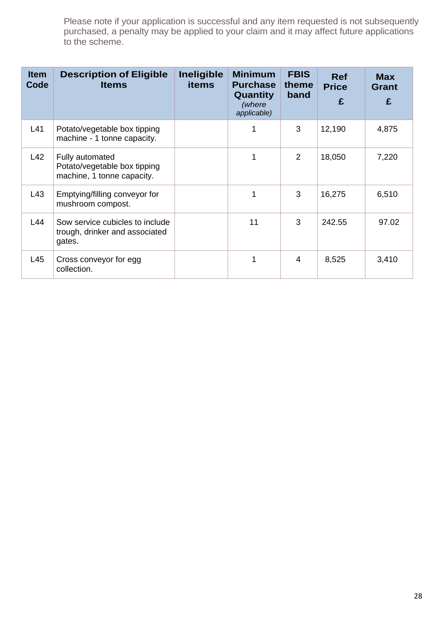| <b>Item</b><br>Code | <b>Description of Eligible</b><br><b>Items</b>                                | <b>Ineligible</b><br><b>items</b> | <b>Minimum</b><br><b>Purchase</b><br>Quantity<br>(where<br>applicable) | <b>FBIS</b><br>theme<br>band | <b>Ref</b><br><b>Price</b><br>£ | <b>Max</b><br><b>Grant</b><br>£ |
|---------------------|-------------------------------------------------------------------------------|-----------------------------------|------------------------------------------------------------------------|------------------------------|---------------------------------|---------------------------------|
| L41                 | Potato/vegetable box tipping<br>machine - 1 tonne capacity.                   |                                   |                                                                        | 3                            | 12,190                          | 4,875                           |
| L42                 | Fully automated<br>Potato/vegetable box tipping<br>machine, 1 tonne capacity. |                                   | 1                                                                      | 2                            | 18,050                          | 7,220                           |
| L43                 | Emptying/filling conveyor for<br>mushroom compost.                            |                                   | 1                                                                      | 3                            | 16,275                          | 6,510                           |
| L44                 | Sow service cubicles to include<br>trough, drinker and associated<br>gates.   |                                   | 11                                                                     | 3                            | 242.55                          | 97.02                           |
| L45                 | Cross conveyor for egg<br>collection.                                         |                                   |                                                                        | 4                            | 8,525                           | 3,410                           |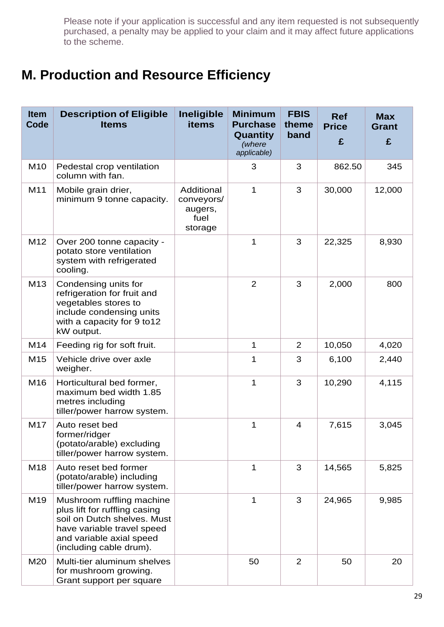### **M. Production and Resource Efficiency**

| <b>Item</b><br>Code | <b>Description of Eligible</b><br><b>Items</b>                                                                                                                                 | <b>Ineligible</b><br><b>items</b>                      | <b>Minimum</b><br><b>Purchase</b><br>Quantity<br>(where<br>applicable) | <b>FBIS</b><br>theme<br>band | <b>Ref</b><br><b>Price</b><br>£ | <b>Max</b><br><b>Grant</b><br>£ |
|---------------------|--------------------------------------------------------------------------------------------------------------------------------------------------------------------------------|--------------------------------------------------------|------------------------------------------------------------------------|------------------------------|---------------------------------|---------------------------------|
| M10                 | Pedestal crop ventilation<br>column with fan.                                                                                                                                  |                                                        | 3                                                                      | 3                            | 862.50                          | 345                             |
| M11                 | Mobile grain drier,<br>minimum 9 tonne capacity.                                                                                                                               | Additional<br>conveyors/<br>augers,<br>fuel<br>storage | 1                                                                      | 3                            | 30,000                          | 12,000                          |
| M12                 | Over 200 tonne capacity -<br>potato store ventilation<br>system with refrigerated<br>cooling.                                                                                  |                                                        | 1                                                                      | 3                            | 22,325                          | 8,930                           |
| M13                 | Condensing units for<br>refrigeration for fruit and<br>vegetables stores to<br>include condensing units<br>with a capacity for 9 to12<br>kW output.                            |                                                        | $\overline{2}$                                                         | 3                            | 2,000                           | 800                             |
| M14                 | Feeding rig for soft fruit.                                                                                                                                                    |                                                        | 1                                                                      | 2                            | 10,050                          | 4,020                           |
| M15                 | Vehicle drive over axle<br>weigher.                                                                                                                                            |                                                        | 1                                                                      | 3                            | 6,100                           | 2,440                           |
| M16                 | Horticultural bed former,<br>maximum bed width 1.85<br>metres including<br>tiller/power harrow system.                                                                         |                                                        | 1                                                                      | 3                            | 10,290                          | 4,115                           |
| M17                 | Auto reset bed<br>former/ridger<br>(potato/arable) excluding<br>tiller/power harrow system.                                                                                    |                                                        | 1                                                                      | $\overline{4}$               | 7,615                           | 3,045                           |
| M18                 | Auto reset bed former<br>(potato/arable) including<br>tiller/power harrow system.                                                                                              |                                                        | 1                                                                      | 3                            | 14,565                          | 5,825                           |
| M19                 | Mushroom ruffling machine<br>plus lift for ruffling casing<br>soil on Dutch shelves. Must<br>have variable travel speed<br>and variable axial speed<br>(including cable drum). |                                                        | 1                                                                      | 3                            | 24,965                          | 9,985                           |
| M20                 | Multi-tier aluminum shelves<br>for mushroom growing.<br>Grant support per square                                                                                               |                                                        | 50                                                                     | 2                            | 50                              | 20                              |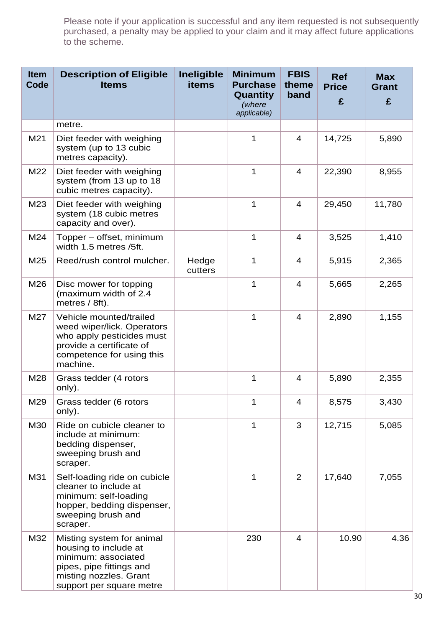| <b>Item</b><br>Code | <b>Description of Eligible</b><br><b>Items</b>                                                                                                              | Ineligible<br><b>items</b> | <b>Minimum</b><br><b>Purchase</b><br>Quantity<br>(where<br>applicable) | <b>FBIS</b><br>theme<br>band | <b>Ref</b><br><b>Price</b><br>£ | <b>Max</b><br><b>Grant</b><br>£ |
|---------------------|-------------------------------------------------------------------------------------------------------------------------------------------------------------|----------------------------|------------------------------------------------------------------------|------------------------------|---------------------------------|---------------------------------|
|                     | metre.                                                                                                                                                      |                            |                                                                        |                              |                                 |                                 |
| M21                 | Diet feeder with weighing<br>system (up to 13 cubic<br>metres capacity).                                                                                    |                            | 1                                                                      | $\overline{4}$               | 14,725                          | 5,890                           |
| M22                 | Diet feeder with weighing<br>system (from 13 up to 18<br>cubic metres capacity).                                                                            |                            | 1                                                                      | $\overline{4}$               | 22,390                          | 8,955                           |
| M23                 | Diet feeder with weighing<br>system (18 cubic metres<br>capacity and over).                                                                                 |                            | 1                                                                      | $\overline{4}$               | 29,450                          | 11,780                          |
| M24                 | Topper – offset, minimum<br>width 1.5 metres /5ft.                                                                                                          |                            | 1                                                                      | $\overline{4}$               | 3,525                           | 1,410                           |
| M25                 | Reed/rush control mulcher.                                                                                                                                  | Hedge<br>cutters           | 1                                                                      | 4                            | 5,915                           | 2,365                           |
| M26                 | Disc mower for topping<br>(maximum width of 2.4<br>metres $/ 8ft$ ).                                                                                        |                            | 1                                                                      | $\overline{4}$               | 5,665                           | 2,265                           |
| M27                 | Vehicle mounted/trailed<br>weed wiper/lick. Operators<br>who apply pesticides must<br>provide a certificate of<br>competence for using this<br>machine.     |                            | 1                                                                      | $\overline{4}$               | 2,890                           | 1,155                           |
| M28                 | Grass tedder (4 rotors<br>only).                                                                                                                            |                            | 1                                                                      | $\overline{4}$               | 5,890                           | 2,355                           |
| M29                 | Grass tedder (6 rotors<br>only).                                                                                                                            |                            |                                                                        | $\overline{4}$               | 8,575                           | 3,430                           |
| M30                 | Ride on cubicle cleaner to<br>include at minimum:<br>bedding dispenser,<br>sweeping brush and<br>scraper.                                                   |                            | 1                                                                      | 3                            | 12,715                          | 5,085                           |
| M31                 | Self-loading ride on cubicle<br>cleaner to include at<br>minimum: self-loading<br>hopper, bedding dispenser,<br>sweeping brush and<br>scraper.              |                            | 1                                                                      | 2                            | 17,640                          | 7,055                           |
| M32                 | Misting system for animal<br>housing to include at<br>minimum: associated<br>pipes, pipe fittings and<br>misting nozzles. Grant<br>support per square metre |                            | 230                                                                    | 4                            | 10.90                           | 4.36                            |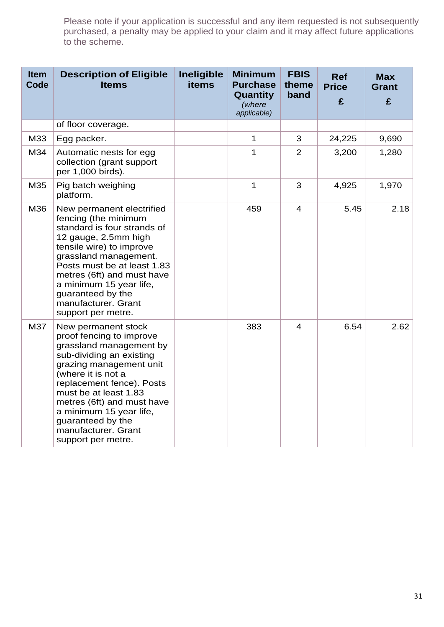| <b>Item</b><br>Code | <b>Description of Eligible</b><br><b>Items</b>                                                                                                                                                                                                                                                                                           | Ineligible<br><b>items</b> | <b>Minimum</b><br><b>Purchase</b><br>Quantity<br>(where<br>applicable) | <b>FBIS</b><br>theme<br>band | <b>Ref</b><br><b>Price</b><br>£ | <b>Max</b><br><b>Grant</b><br>£ |
|---------------------|------------------------------------------------------------------------------------------------------------------------------------------------------------------------------------------------------------------------------------------------------------------------------------------------------------------------------------------|----------------------------|------------------------------------------------------------------------|------------------------------|---------------------------------|---------------------------------|
|                     | of floor coverage.                                                                                                                                                                                                                                                                                                                       |                            |                                                                        |                              |                                 |                                 |
| M33                 | Egg packer.                                                                                                                                                                                                                                                                                                                              |                            | 1                                                                      | 3                            | 24,225                          | 9,690                           |
| M34                 | Automatic nests for egg<br>collection (grant support<br>per 1,000 birds).                                                                                                                                                                                                                                                                |                            | 1                                                                      | $\overline{2}$               | 3,200                           | 1,280                           |
| M35                 | Pig batch weighing<br>platform.                                                                                                                                                                                                                                                                                                          |                            | 1                                                                      | 3                            | 4,925                           | 1,970                           |
| M36                 | New permanent electrified<br>fencing (the minimum<br>standard is four strands of<br>12 gauge, 2.5mm high<br>tensile wire) to improve<br>grassland management.<br>Posts must be at least 1.83<br>metres (6ft) and must have<br>a minimum 15 year life,<br>guaranteed by the<br>manufacturer. Grant<br>support per metre.                  |                            | 459                                                                    | $\overline{4}$               | 5.45                            | 2.18                            |
| M37                 | New permanent stock<br>proof fencing to improve<br>grassland management by<br>sub-dividing an existing<br>grazing management unit<br>(where it is not a<br>replacement fence). Posts<br>must be at least 1.83<br>metres (6ft) and must have<br>a minimum 15 year life,<br>guaranteed by the<br>manufacturer. Grant<br>support per metre. |                            | 383                                                                    | 4                            | 6.54                            | 2.62                            |